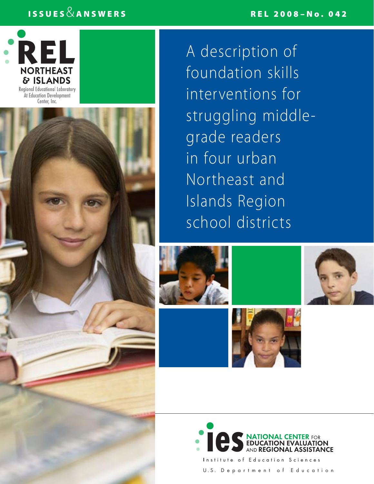## REL 2008–No. 042

# ISSUES  $\&$  ANSWERS



Center, Inc.



A description of foundation skills interventions for struggling middlegrade readers in four urban Northeast and Islands Region school districts











Institute of Education Sciences U.S. Department of Education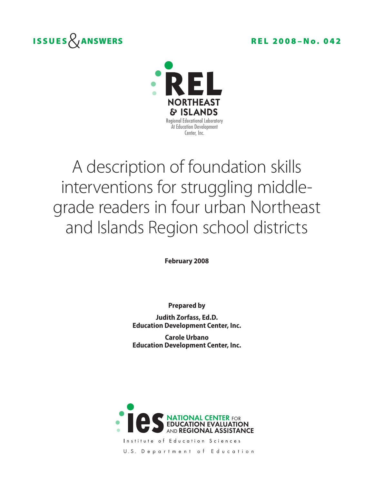



# A description of foundation skills interventions for struggling middlegrade readers in four urban Northeast and Islands Region school districts

**February 2008**

**Prepared by**

**Judith Zorfass, Ed.D. Education Development Center, Inc.**

**Carole Urbano Education Development Center, Inc.**



Institute of Education Sciences U.S. Department of Education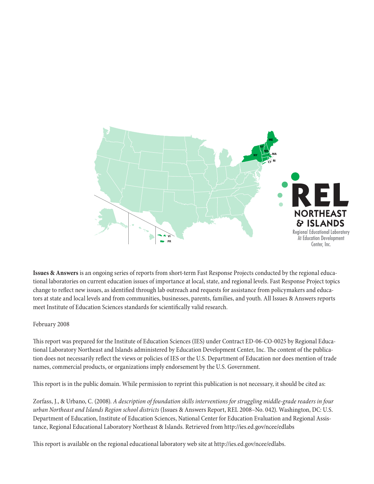

**Issues & Answers** is an ongoing series of reports from short-term Fast Response Projects conducted by the regional educational laboratories on current education issues of importance at local, state, and regional levels. Fast Response Project topics change to reflect new issues, as identified through lab outreach and requests for assistance from policymakers and educators at state and local levels and from communities, businesses, parents, families, and youth. All Issues & Answers reports meet Institute of Education Sciences standards for scientifically valid research.

#### February 2008

This report was prepared for the Institute of Education Sciences (IES) under Contract ED-06-CO-0025 by Regional Educational Laboratory Northeast and Islands administered by Education Development Center, Inc. The content of the publication does not necessarily reflect the views or policies of IES or the U.S. Department of Education nor does mention of trade names, commercial products, or organizations imply endorsement by the U.S. Government.

This report is in the public domain. While permission to reprint this publication is not necessary, it should be cited as:

Zorfass, J., & Urbano, C. (2008). *A description of foundation skills interventions for struggling middle-grade readers in four urban Northeast and Islands Region school districts* (Issues & Answers Report, REL 2008–No. 042). Washington, DC: U.S. Department of Education, Institute of Education Sciences, National Center for Education Evaluation and Regional Assistance, Regional Educational Laboratory Northeast & Islands. Retrieved from http://ies.ed.gov/ncee/edlabs

This report is available on the regional educational laboratory web site at http://ies.ed.gov/ncee/edlabs.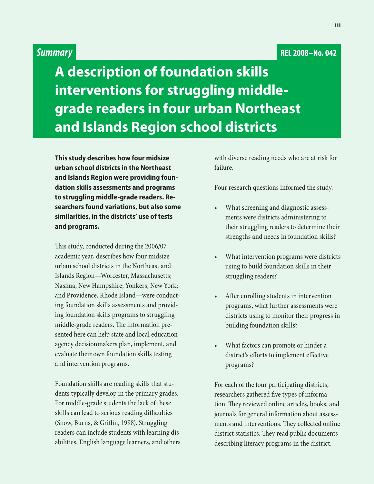# *Summary* **REL 2008–No. 042**

**A description of foundation skills interventions for struggling middlegrade readers in four urban Northeast and Islands Region school districts**

**This study describes how four midsize urban school districts in the Northeast and Islands Region were providing foundation skills assessments and programs to struggling middle-grade readers. Researchers found variations, but also some similarities, in the districts' use of tests and programs.**

This study, conducted during the 2006/07 academic year, describes how four midsize urban school districts in the Northeast and Islands Region—Worcester, Massachusetts; Nashua, New Hampshire; Yonkers, New York; and Providence, Rhode Island—were conducting foundation skills assessments and providing foundation skills programs to struggling middle-grade readers. The information presented here can help state and local education agency decisionmakers plan, implement, and evaluate their own foundation skills testing and intervention programs.

Foundation skills are reading skills that students typically develop in the primary grades. For middle-grade students the lack of these skills can lead to serious reading difficulties (Snow, Burns, & Griffin, 1998). Struggling readers can include students with learning disabilities, English language learners, and others

with diverse reading needs who are at risk for failure.

Four research questions informed the study.

- What screening and diagnostic assessments were districts administering to their struggling readers to determine their strengths and needs in foundation skills?
- What intervention programs were districts using to build foundation skills in their struggling readers?
- After enrolling students in intervention programs, what further assessments were districts using to monitor their progress in building foundation skills?
- What factors can promote or hinder a district's efforts to implement effective programs?

For each of the four participating districts, researchers gathered five types of information. They reviewed online articles, books, and journals for general information about assessments and interventions. They collected online district statistics. They read public documents describing literacy programs in the district.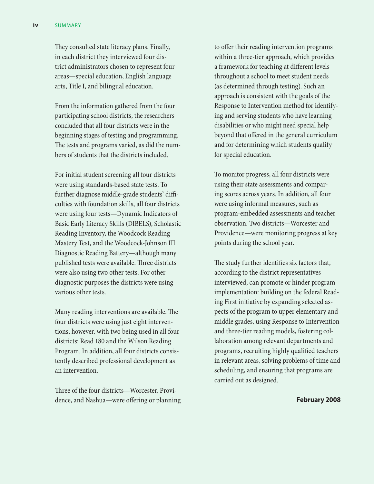They consulted state literacy plans. Finally, in each district they interviewed four district administrators chosen to represent four areas—special education, English language arts, Title I, and bilingual education.

From the information gathered from the four participating school districts, the researchers concluded that all four districts were in the beginning stages of testing and programming. The tests and programs varied, as did the numbers of students that the districts included.

For initial student screening all four districts were using standards-based state tests. To further diagnose middle-grade students' difficulties with foundation skills, all four districts were using four tests—Dynamic Indicators of Basic Early Literacy Skills (DIBELS), Scholastic Reading Inventory, the Woodcock Reading Mastery Test, and the Woodcock-Johnson III Diagnostic Reading Battery—although many published tests were available. Three districts were also using two other tests. For other diagnostic purposes the districts were using various other tests.

Many reading interventions are available. The four districts were using just eight interventions, however, with two being used in all four districts: Read 180 and the Wilson Reading Program. In addition, all four districts consistently described professional development as an intervention.

Three of the four districts—Worcester, Providence, and Nashua—were offering or planning to offer their reading intervention programs within a three-tier approach, which provides a framework for teaching at different levels throughout a school to meet student needs (as determined through testing). Such an approach is consistent with the goals of the Response to Intervention method for identifying and serving students who have learning disabilities or who might need special help beyond that offered in the general curriculum and for determining which students qualify for special education.

To monitor progress, all four districts were using their state assessments and comparing scores across years. In addition, all four were using informal measures, such as program-embedded assessments and teacher observation. Two districts—Worcester and Providence—were monitoring progress at key points during the school year.

The study further identifies six factors that, according to the district representatives interviewed, can promote or hinder program implementation: building on the federal Reading First initiative by expanding selected aspects of the program to upper elementary and middle grades, using Response to Intervention and three-tier reading models, fostering collaboration among relevant departments and programs, recruiting highly qualified teachers in relevant areas, solving problems of time and scheduling, and ensuring that programs are carried out as designed.

#### **February 2008**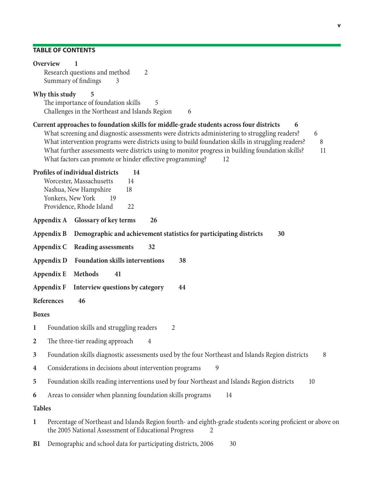### **Table of contents**

|                  | Overview<br>1<br>Research questions and method<br>2<br>Summary of findings<br>3                                                                                                                                                                                                                                                                                                                                                                                                           |  |  |  |  |  |  |  |
|------------------|-------------------------------------------------------------------------------------------------------------------------------------------------------------------------------------------------------------------------------------------------------------------------------------------------------------------------------------------------------------------------------------------------------------------------------------------------------------------------------------------|--|--|--|--|--|--|--|
|                  | Why this study<br>5<br>The importance of foundation skills<br>5<br>Challenges in the Northeast and Islands Region<br>6                                                                                                                                                                                                                                                                                                                                                                    |  |  |  |  |  |  |  |
|                  | Current approaches to foundation skills for middle-grade students across four districts<br>6<br>What screening and diagnostic assessments were districts administering to struggling readers?<br>6<br>What intervention programs were districts using to build foundation skills in struggling readers?<br>8<br>What further assessments were districts using to monitor progress in building foundation skills?<br>11<br>What factors can promote or hinder effective programming?<br>12 |  |  |  |  |  |  |  |
|                  | Profiles of individual districts<br>14<br>Worcester, Massachusetts<br>14<br>Nashua, New Hampshire<br>18<br>Yonkers, New York<br>19<br>Providence, Rhode Island<br>22                                                                                                                                                                                                                                                                                                                      |  |  |  |  |  |  |  |
|                  | <b>Glossary of key terms</b><br>26<br>Appendix A                                                                                                                                                                                                                                                                                                                                                                                                                                          |  |  |  |  |  |  |  |
|                  | Demographic and achievement statistics for participating districts<br>30<br>Appendix B                                                                                                                                                                                                                                                                                                                                                                                                    |  |  |  |  |  |  |  |
|                  | <b>Reading assessments</b><br>Appendix C<br>32                                                                                                                                                                                                                                                                                                                                                                                                                                            |  |  |  |  |  |  |  |
|                  | <b>Foundation skills interventions</b><br>Appendix D<br>38                                                                                                                                                                                                                                                                                                                                                                                                                                |  |  |  |  |  |  |  |
|                  | <b>Methods</b><br>Appendix E<br>41                                                                                                                                                                                                                                                                                                                                                                                                                                                        |  |  |  |  |  |  |  |
|                  | <b>Appendix F</b><br>Interview questions by category<br>44                                                                                                                                                                                                                                                                                                                                                                                                                                |  |  |  |  |  |  |  |
|                  | <b>References</b><br>46                                                                                                                                                                                                                                                                                                                                                                                                                                                                   |  |  |  |  |  |  |  |
| <b>Boxes</b>     |                                                                                                                                                                                                                                                                                                                                                                                                                                                                                           |  |  |  |  |  |  |  |
| 1                | Foundation skills and struggling readers<br>$\overline{2}$                                                                                                                                                                                                                                                                                                                                                                                                                                |  |  |  |  |  |  |  |
| $\overline{2}$   | The three-tier reading approach<br>4                                                                                                                                                                                                                                                                                                                                                                                                                                                      |  |  |  |  |  |  |  |
| 3                | Foundation skills diagnostic assessments used by the four Northeast and Islands Region districts<br>8                                                                                                                                                                                                                                                                                                                                                                                     |  |  |  |  |  |  |  |
| $\boldsymbol{4}$ | Considerations in decisions about intervention programs<br>9                                                                                                                                                                                                                                                                                                                                                                                                                              |  |  |  |  |  |  |  |
| 5                | Foundation skills reading interventions used by four Northeast and Islands Region districts<br>10                                                                                                                                                                                                                                                                                                                                                                                         |  |  |  |  |  |  |  |
| 6                | Areas to consider when planning foundation skills programs<br>14                                                                                                                                                                                                                                                                                                                                                                                                                          |  |  |  |  |  |  |  |
| <b>Tables</b>    |                                                                                                                                                                                                                                                                                                                                                                                                                                                                                           |  |  |  |  |  |  |  |
| $\mathbf{1}$     | Percentage of Northeast and Islands Region fourth- and eighth-grade students scoring proficient or above on<br>the 2005 National Assessment of Educational Progress                                                                                                                                                                                                                                                                                                                       |  |  |  |  |  |  |  |
| B1               | Demographic and school data for participating districts, 2006<br>30                                                                                                                                                                                                                                                                                                                                                                                                                       |  |  |  |  |  |  |  |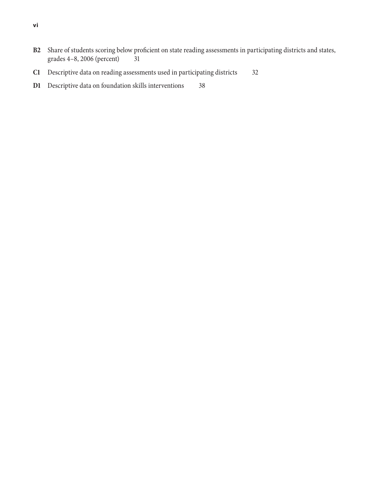- **[B2](#page-37-0)** [Share of students scoring below proficient on state reading assessments in participating districts and states,](#page-37-0)  [grades 4–8, 2006 \(percent\) 31](#page-37-0)
- **[C1](#page-38-0)** [Descriptive data on reading assessments used in participating districts 32](#page-38-0)
- **[D1](#page-44-0)** [Descriptive data on foundation skills interventions 38](#page-44-0)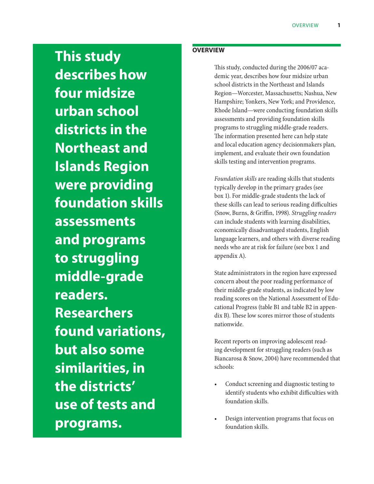<span id="page-7-0"></span>**This study describes how four midsize urban school districts in the Northeast and Islands Region were providing foundation skills assessments and programs to struggling middle-grade readers. Researchers found variations, but also some similarities, in the districts' use of tests and programs.**

#### **Overview**

This study, conducted during the 2006/07 academic year, describes how four midsize urban school districts in the Northeast and Islands Region—Worcester, Massachusetts; Nashua, New Hampshire; Yonkers, New York; and Providence, Rhode Island—were conducting foundation skills assessments and providing foundation skills programs to struggling middle-grade readers. The information presented here can help state and local education agency decisionmakers plan, implement, and evaluate their own foundation skills testing and intervention programs.

*Foundation skills* are reading skills that students typically develop in the primary grades (see box 1). For middle-grade students the lack of these skills can lead to serious reading difficulties (Snow, Burns, & Griffin, 1998). *Struggling readers* can include students with learning disabilities, economically disadvantaged students, English language learners, and others with diverse reading needs who are at risk for failure (see box 1 and appendix A).

State administrators in the region have expressed concern about the poor reading performance of their middle-grade students, as indicated by low reading scores on the National Assessment of Educational Progress (table B1 and table B2 in appendix B). These low scores mirror those of students nationwide.

Recent reports on improving adolescent reading development for struggling readers (such as Biancarosa & Snow, 2004) have recommended that schools:

- Conduct screening and diagnostic testing to identify students who exhibit difficulties with foundation skills.
- Design intervention programs that focus on foundation skills.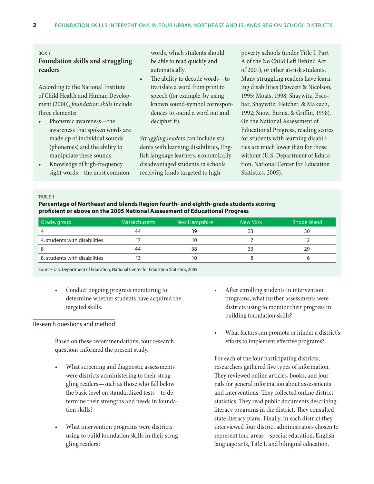#### <span id="page-8-0"></span>Box 1

#### **Foundation skills and struggling readers**

According to the National Institute of Child Health and Human Development (2000), *foundation skills* include three elements:

- Phonemic awareness—the awareness that spoken words are made up of individual sounds (phonemes) and the ability to manipulate these sounds.
- Knowledge of high-frequency sight words—the most common

words, which students should be able to read quickly and automatically.

The ability to decode words—to translate a word from print to speech (for example, by using known sound-symbol correspondences to sound a word out and decipher it).

*Struggling readers* can include students with learning disabilities, English language learners, economically disadvantaged students in schools receiving funds targeted to highpoverty schools (under Title I, Part A of the No Child Left Behind Act of 2001), or other at-risk students. Many struggling readers have learning disabilities (Fawcett & Nicolson, 1995; Moats, 1998; Shaywitz, Escobar, Shaywitz, Fletcher, & Makuch, 1992; Snow, Burns, & Griffin, 1998). On the National Assessment of Educational Progress, reading scores for students with learning disabilities are much lower than for those without (U.S. Department of Education, National Center for Education Statistics, 2005).

#### TABLE<sub>1</sub>

#### **Percentage of Northeast and Islands Region fourth- and eighth-grade students scoring proficient or above on the 2005 National Assessment of Educational Progress**

| Grade, group                  | <b>Massachusetts</b> | New Hampshire | New York | Rhode Island |
|-------------------------------|----------------------|---------------|----------|--------------|
|                               | 44                   | 39            |          | 30           |
| 4, students with disabilities |                      |               |          |              |
|                               | 44                   | 38            |          | 29           |
| 8, students with disabilities |                      |               |          |              |

*Source:* U.S. Department of Education, National Center for Education Statistics, 2005.

Conduct ongoing progress monitoring to determine whether students have acquired the targeted skills.

#### Research questions and method

Based on these recommendations, four research questions informed the present study.

- What screening and diagnostic assessments were districts administering to their struggling readers—such as those who fall below the basic level on standardized tests—to determine their strengths and needs in foundation skills?
- What intervention programs were districts using to build foundation skills in their struggling readers?
- After enrolling students in intervention programs, what further assessments were districts using to monitor their progress in building foundation skills?
- What factors can promote or hinder a district's efforts to implement effective programs?

For each of the four participating districts, researchers gathered five types of information. They reviewed online articles, books, and journals for general information about assessments and interventions. They collected online district statistics. They read public documents describing literacy programs in the district. They consulted state literacy plans. Finally, in each district they interviewed four district administrators chosen to represent four areas—special education, English language arts, Title I, and bilingual education.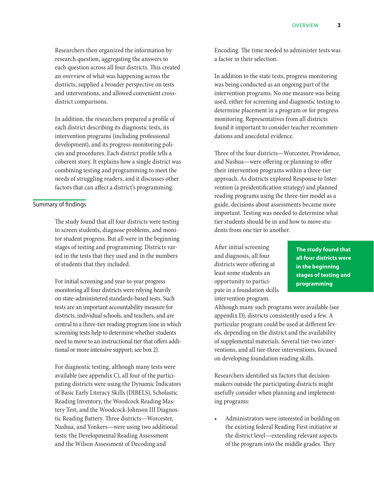<span id="page-9-0"></span>Researchers then organized the information by research question, aggregating the answers to each question across all four districts. This created an overview of what was happening across the districts, supplied a broader perspective on tests and interventions, and allowed convenient crossdistrict comparisons.

In addition, the researchers prepared a profile of each district describing its diagnostic tests, its intervention programs (including professional development), and its progress-monitoring policies and procedures. Each district profile tells a coherent story. It explains how a single district was combining testing and programming to meet the needs of struggling readers, and it discusses other factors that can affect a district's programming.

#### Summary of findings

The study found that all four districts were testing to screen students, diagnose problems, and monitor student progress. But all were in the beginning stages of testing and programming. Districts varied in the tests that they used and in the numbers of students that they included.

For initial screening and year-to-year progress monitoring all four districts were relying heavily on state-administered standards-based tests. Such tests are an important accountability measure for districts, individual schools, and teachers, and are central to a three-tier reading program (one in which screening tests help to determine whether students need to move to an instructional tier that offers additional or more intensive support; see box 2).

For diagnostic testing, although many tests were available (see appendix C), all four of the participating districts were using the Dynamic Indicators of Basic Early Literacy Skills (DIBELS), Scholastic Reading Inventory, the Woodcock Reading Mastery Test, and the Woodcock-Johnson III Diagnostic Reading Battery*.* Three districts—Worcester, Nashua, and Yonkers—were using two additional tests: the Developmental Reading Assessment and the Wilson Assessment of Decoding and

Encoding. The time needed to administer tests was a factor in their selection.

In addition to the state tests, progress monitoring was being conducted as an ongoing part of the intervention programs. No one measure was being used, either for screening and diagnostic testing to determine placement in a program or for progress monitoring. Representatives from all districts found it important to consider teacher recommendations and anecdotal evidence.

Three of the four districts—Worcester, Providence, and Nashua—were offering or planning to offer their intervention programs within a three-tier approach. As districts explored Response to Intervention (a preidentification strategy) and planned reading programs using the three-tier model as a guide, decisions about assessments became more important. Testing was needed to determine what tier students should be in and how to move students from one tier to another.

After initial screening and diagnosis, all four districts were offering at least some students an opportunity to participate in a foundation skills intervention program.

**The study found that all four districts were in the beginning stages of testing and programming**

Although many such programs were available (see appendix D), districts consistently used a few. A particular program could be used at different levels, depending on the district and the availability of supplemental materials. Several tier-two interventions, and all tier-three interventions, focused on developing foundation reading skills.

Researchers identified six factors that decisionmakers outside the participating districts might usefully consider when planning and implementing programs:

Administrators were interested in building on the existing federal Reading First initiative at the district level—extending relevant aspects of the program into the middle grades. They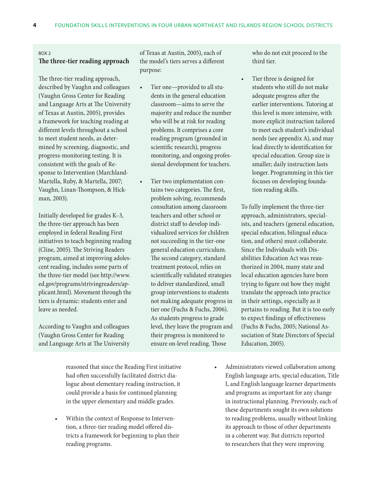#### <span id="page-10-0"></span>Box 2

#### **The three-tier reading approach**

The three-tier reading approach, described by Vaughn and colleagues (Vaughn Gross Center for Reading and Language Arts at The University of Texas at Austin, 2005), provides a framework for teaching reading at different levels throughout a school to meet student needs, as determined by screening, diagnostic, and progress-monitoring testing. It is consistent with the goals of Response to Intervention (Marchland-Martella, Ruby, & Martella, 2007; Vaughn, Linan-Thompson, & Hickman, 2003).

Initially developed for grades K–3, the three-tier approach has been employed in federal Reading First initiatives to teach beginning reading (Cline, 2005). The Striving Readers program, aimed at improving adolescent reading, includes some parts of the three-tier model (see http://www. ed.gov/programs/strivingreaders/applicant.html). Movement through the tiers is dynamic: students enter and leave as needed.

According to Vaughn and colleagues (Vaughn Gross Center for Reading and Language Arts at The University of Texas at Austin, 2005), each of the model's tiers serves a different purpose:

- • Tier one—provided to all students in the general education classroom—aims to serve the majority and reduce the number who will be at risk for reading problems. It comprises a core reading program (grounded in scientific research), progress monitoring, and ongoing professional development for teachers.
	- Tier two implementation contains two categories. The first, problem solving, recommends consultation among classroom teachers and other school or district staff to develop individualized services for children not succeeding in the tier-one general education curriculum. The second category, standard treatment protocol, relies on scientifically validated strategies to deliver standardized, small group interventions to students not making adequate progress in tier one (Fuchs & Fuchs, 2006). As students progress to grade level, they leave the program and their progress is monitored to ensure on-level reading. Those

who do not exit proceed to the third tier.

Tier three is designed for students who still do not make adequate progress after the earlier interventions. Tutoring at this level is more intensive, with more explicit instruction tailored to meet each student's individual needs (see appendix A), and may lead directly to identification for special education. Group size is smaller; daily instruction lasts longer. Programming in this tier focuses on developing foundation reading skills.

To fully implement the three-tier approach, administrators, specialists, and teachers (general education, special education, bilingual education, and others) must collaborate. Since the Individuals with Disabilities Education Act was reauthorized in 2004, many state and local education agencies have been trying to figure out how they might translate the approach into practice in their settings, especially as it pertains to reading. But it is too early to expect findings of effectiveness (Fuchs & Fuchs, 2005; National Association of State Directors of Special Education, 2005).

reasoned that since the Reading First initiative had often successfully facilitated district dialogue about elementary reading instruction, it could provide a basis for continued planning in the upper elementary and middle grades.

- Within the context of Response to Intervention, a three-tier reading model offered districts a framework for beginning to plan their reading programs.
- Administrators viewed collaboration among English language arts, special education, Title I, and English language learner departments and programs as important for any change in instructional planning. Previously, each of these departments sought its own solutions to reading problems, usually without linking its approach to those of other departments in a coherent way. But districts reported to researchers that they were improving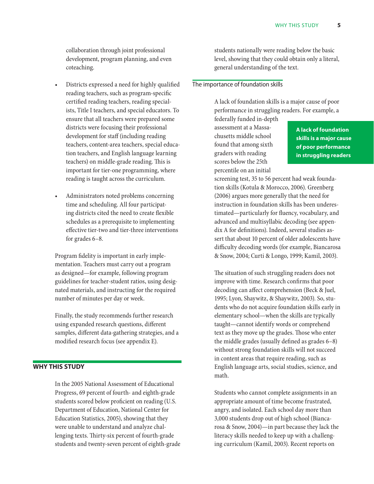<span id="page-11-0"></span>collaboration through joint professional development, program planning, and even coteaching.

- Districts expressed a need for highly qualified reading teachers, such as program-specific certified reading teachers, reading specialists, Title I teachers, and special educators. To ensure that all teachers were prepared some districts were focusing their professional development for staff (including reading teachers, content-area teachers, special education teachers, and English language learning teachers) on middle-grade reading. This is important for tier-one programming, where reading is taught across the curriculum.
- Administrators noted problems concerning time and scheduling. All four participating districts cited the need to create flexible schedules as a prerequisite to implementing effective tier-two and tier-three interventions for grades 6–8.

Program fidelity is important in early implementation. Teachers must carry out a program as designed—for example, following program guidelines for teacher-student ratios, using designated materials, and instructing for the required number of minutes per day or week.

Finally, the study recommends further research using expanded research questions, different samples, different data-gathering strategies, and a modified research focus (see appendix E).

#### **Why this study**

In the 2005 National Assessment of Educational Progress, 69 percent of fourth- and eighth-grade students scored below proficient on reading (U.S. Department of Education, National Center for Education Statistics, 2005), showing that they were unable to understand and analyze challenging texts. Thirty-six percent of fourth-grade students and twenty-seven percent of eighth-grade students nationally were reading below the basic level, showing that they could obtain only a literal, general understanding of the text.

#### The importance of foundation skills

A lack of foundation skills is a major cause of poor performance in struggling readers. For example, a federally funded in-depth

assessment at a Massachusetts middle school found that among sixth graders with reading scores below the 25th percentile on an initial

**A lack of foundation skills is a major cause of poor performance in struggling readers**

screening test, 35 to 56 percent had weak foundation skills (Kotula & Morocco, 2006). Greenberg (2006) argues more generally that the need for instruction in foundation skills has been underestimated—particularly for fluency, vocabulary, and advanced and multisyllabic decoding (see appendix A for definitions). Indeed, several studies assert that about 10 percent of older adolescents have difficulty decoding words (for example, Biancarosa & Snow, 2004; Curti & Longo, 1999; Kamil, 2003).

The situation of such struggling readers does not improve with time. Research confirms that poor decoding can affect comprehension (Beck & Juel, 1995; Lyon, Shaywitz, & Shaywitz, 2003). So, students who do not acquire foundation skills early in elementary school—when the skills are typically taught—cannot identify words or comprehend text as they move up the grades. Those who enter the middle grades (usually defined as grades 6–8) without strong foundation skills will not succeed in content areas that require reading, such as English language arts, social studies, science, and math.

Students who cannot complete assignments in an appropriate amount of time become frustrated, angry, and isolated. Each school day more than 3,000 students drop out of high school (Biancarosa & Snow, 2004)—in part because they lack the literacy skills needed to keep up with a challenging curriculum (Kamil, 2003). Recent reports on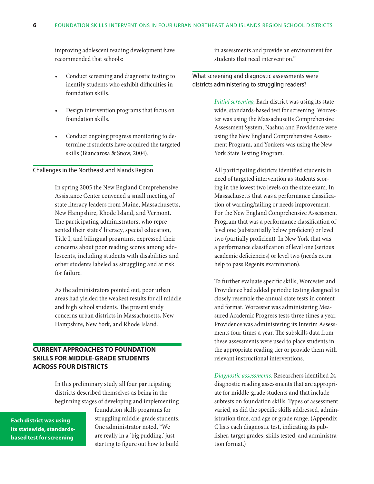<span id="page-12-0"></span>improving adolescent reading development have recommended that schools:

- Conduct screening and diagnostic testing to identify students who exhibit difficulties in foundation skills.
- Design intervention programs that focus on foundation skills.
- Conduct ongoing progress monitoring to determine if students have acquired the targeted skills (Biancarosa & Snow, 2004).

#### Challenges in the Northeast and Islands Region

In spring 2005 the New England Comprehensive Assistance Center convened a small meeting of state literacy leaders from Maine, Massachusetts, New Hampshire, Rhode Island, and Vermont. The participating administrators, who represented their states' literacy, special education, Title I, and bilingual programs, expressed their concerns about poor reading scores among adolescents, including students with disabilities and other students labeled as struggling and at risk for failure*.*

As the administrators pointed out, poor urban areas had yielded the weakest results for all middle and high school students. The present study concerns urban districts in Massachusetts, New Hampshire, New York, and Rhode Island.

#### **Current approaches to foundation skills for middle-grade students across four districts**

In this preliminary study all four participating districts described themselves as being in the beginning stages of developing and implementing

**Each district was using its statewide, standardsbased test for screening**

foundation skills programs for struggling middle-grade students. One administrator noted, "We are really in a 'big pudding,' just starting to figure out how to build

in assessments and provide an environment for students that need intervention."

#### What screening and diagnostic assessments were districts administering to struggling readers?

*Initial screening.* Each district was using its statewide, standards-based test for screening. Worcester was using the Massachusetts Comprehensive Assessment System, Nashua and Providence were using the New England Comprehensive Assessment Program, and Yonkers was using the New York State Testing Program.

All participating districts identified students in need of targeted intervention as students scoring in the lowest two levels on the state exam. In Massachusetts that was a performance classification of warning/failing or needs improvement. For the New England Comprehensive Assessment Program that was a performance classification of level one (substantially below proficient) or level two (partially proficient). In New York that was a performance classification of level one (serious academic deficiencies) or level two (needs extra help to pass Regents examination).

To further evaluate specific skills, Worcester and Providence had added periodic testing designed to closely resemble the annual state tests in content and format. Worcester was administering Measured Academic Progress tests three times a year. Providence was administering its Interim Assessments four times a year. The subskills data from these assessments were used to place students in the appropriate reading tier or provide them with relevant instructional interventions.

*Diagnostic assessments.* Researchers identified 24 diagnostic reading assessments that are appropriate for middle-grade students and that include subtests on foundation skills. Types of assessment varied, as did the specific skills addressed, administration time, and age or grade range. (Appendix C lists each diagnostic test, indicating its publisher, target grades, skills tested, and administration format.)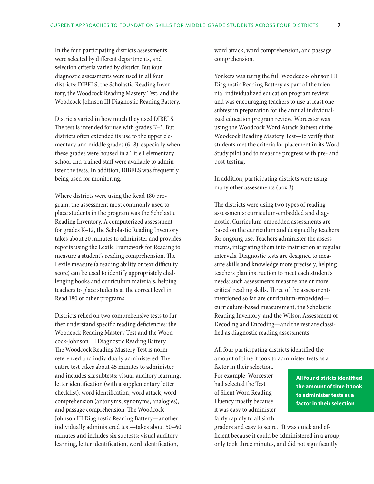In the four participating districts assessments were selected by different departments, and selection criteria varied by district. But four diagnostic assessments were used in all four districts: DIBELS, the Scholastic Reading Inventory, the Woodcock Reading Mastery Test, and the Woodcock-Johnson III Diagnostic Reading Battery.

Districts varied in how much they used DIBELS*.*  The test is intended for use with grades K–3. But districts often extended its use to the upper elementary and middle grades (6–8), especially when these grades were housed in a Title I elementary school and trained staff were available to administer the tests. In addition, DIBELS was frequently being used for monitoring.

Where districts were using the Read 180 program, the assessment most commonly used to place students in the program was the Scholastic Reading Inventory. A computerized assessment for grades K–12, the Scholastic Reading Inventory takes about 20 minutes to administer and provides reports using the Lexile Framework for Reading to measure a student's reading comprehension. The Lexile measure (a reading ability or text difficulty score) can be used to identify appropriately challenging books and curriculum materials, helping teachers to place students at the correct level in Read 180 or other programs.

Districts relied on two comprehensive tests to further understand specific reading deficiencies: the Woodcock Reading Mastery Test and the Woodcock-Johnson III Diagnostic Reading Battery. The Woodcock Reading Mastery Test is normreferenced and individually administered. The entire test takes about 45 minutes to administer and includes six subtests: visual-auditory learning, letter identification (with a supplementary letter checklist), word identification, word attack, word comprehension (antonyms, synonyms, analogies), and passage comprehension. The Woodcock-Johnson III Diagnostic Reading Battery—another individually administered test—takes about 50–60 minutes and includes six subtests: visual auditory learning, letter identification, word identification,

word attack, word comprehension, and passage comprehension.

Yonkers was using the full Woodcock-Johnson III Diagnostic Reading Battery as part of the triennial individualized education program review and was encouraging teachers to use at least one subtest in preparation for the annual individualized education program review. Worcester was using the Woodcock Word Attack Subtest of the Woodcock Reading Mastery Test—to verify that students met the criteria for placement in its Word Study pilot and to measure progress with pre- and post-testing.

In addition, participating districts were using many other assessments (box 3).

The districts were using two types of reading assessments: curriculum-embedded and diagnostic. Curriculum-embedded assessments are based on the curriculum and designed by teachers for ongoing use. Teachers administer the assessments, integrating them into instruction at regular intervals. Diagnostic tests are designed to measure skills and knowledge more precisely, helping teachers plan instruction to meet each student's needs: such assessments measure one or more critical reading skills. Three of the assessments mentioned so far are curriculum-embedded curriculum-based measurement, the Scholastic Reading Inventory, and the Wilson Assessment of Decoding and Encoding—and the rest are classified as diagnostic reading assessments.

All four participating districts identified the amount of time it took to administer tests as a

factor in their selection. For example, Worcester had selected the Test of Silent Word Reading Fluency mostly because it was easy to administer fairly rapidly to all sixth

**All four districts identified the amount of time it took to administer tests as a factor in their selection**

graders and easy to score. "It was quick and efficient because it could be administered in a group, only took three minutes, and did not significantly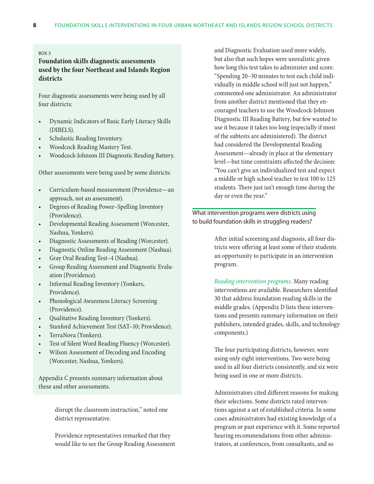#### <span id="page-14-0"></span>Box 3

#### **Foundation skills diagnostic assessments used by the four Northeast and Islands Region districts**

Four diagnostic assessments were being used by all four districts:

- • Dynamic Indicators of Basic Early Literacy Skills (DIBELS).
- Scholastic Reading Inventory.
- Woodcock Reading Mastery Test.
- Woodcock-Johnson III Diagnostic Reading Battery.

Other assessments were being used by some districts:

- • Curriculum-based measurement (Providence—an approach, not an assessment).
- • Degrees of Reading Power–Spelling Inventory (Providence).
- • Developmental Reading Assessment (Worcester, Nashua, Yonkers).
- Diagnostic Assessments of Reading (Worcester).
- Diagnostic Online Reading Assessment (Nashua).
- Gray Oral Reading Test-4 (Nashua).
- Group Reading Assessment and Diagnostic Evaluation (Providence).
- Informal Reading Inventory (Yonkers, Providence).
- • Phonological Awareness Literacy Screening (Providence).
- • Qualitative Reading Inventory (Yonkers).
- Stanford Achievement Test (SAT-10; Providence).
- TerraNova (Yonkers).
- Test of Silent Word Reading Fluency (Worcester).
- Wilson Assessment of Decoding and Encoding (Worcester, Nashua, Yonkers).

Appendix C presents summary information about these and other assessments.

> disrupt the classroom instruction," noted one district representative.

Providence representatives remarked that they would like to see the Group Reading Assessment and Diagnostic Evaluation used more widely, but also that such hopes were unrealistic given how long this test takes to administer and score. "Spending 20–30 minutes to test each child individually in middle school will just not happen," commented one administrator. An administrator from another district mentioned that they encouraged teachers to use the Woodcock-Johnson Diagnostic III Reading Battery, but few wanted to use it because it takes too long (especially if most of the subtests are administered). The district had considered the Developmental Reading Assessment—already in place at the elementary level—but time constraints affected the decision: "You can't give an individualized test and expect a middle or high school teacher to test 100 to 125 students. There just isn't enough time during the day or even the year."

What intervention programs were districts using to build foundation skills in struggling readers?

> After initial screening and diagnosis, all four districts were offering at least some of their students an opportunity to participate in an intervention program.

*Reading intervention programs.* Many reading interventions are available. Researchers identified 30 that address foundation reading skills in the middle grades. (Appendix D lists these interventions and presents summary information on their publishers, intended grades, skills, and technology components.)

The four participating districts, however, were using only eight interventions. Two were being used in all four districts consistently, and six were being used in one or more districts.

Administrators cited different reasons for making their selections. Some districts rated interventions against a set of established criteria. In some cases administrators had existing knowledge of a program or past experience with it. Some reported hearing recommendations from other administrators, at conferences, from consultants, and so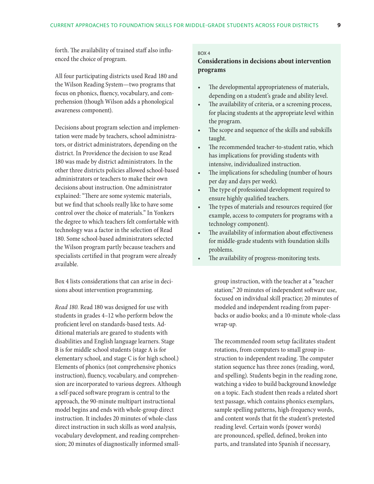<span id="page-15-0"></span>forth. The availability of trained staff also influenced the choice of program.

All four participating districts used Read 180 and the Wilson Reading System—two programs that focus on phonics, fluency, vocabulary, and comprehension (though Wilson adds a phonological awareness component).

Decisions about program selection and implementation were made by teachers, school administrators, or district administrators, depending on the district. In Providence the decision to use Read 180 was made by district administrators. In the other three districts policies allowed school-based administrators or teachers to make their own decisions about instruction. One administrator explained: "There are some systemic materials, but we find that schools really like to have some control over the choice of materials." In Yonkers the degree to which teachers felt comfortable with technology was a factor in the selection of Read 180. Some school-based administrators selected the Wilson program partly because teachers and specialists certified in that program were already available.

Box 4 lists considerations that can arise in decisions about intervention programming.

*Read 180.* Read 180 was designed for use with students in grades 4–12 who perform below the proficient level on standards-based tests. Additional materials are geared to students with disabilities and English language learners. Stage B is for middle school students (stage A is for elementary school, and stage C is for high school.) Elements of phonics (not comprehensive phonics instruction), fluency, vocabulary, and comprehension are incorporated to various degrees. Although a self-paced software program is central to the approach, the 90-minute multipart instructional model begins and ends with whole-group direct instruction. It includes 20 minutes of whole-class direct instruction in such skills as word analysis, vocabulary development, and reading comprehension; 20 minutes of diagnostically informed small-

#### Box 4

#### **Considerations in decisions about intervention programs**

- The developmental appropriateness of materials, depending on a student's grade and ability level.
- The availability of criteria, or a screening process, for placing students at the appropriate level within the program.
- The scope and sequence of the skills and subskills taught.
- The recommended teacher-to-student ratio, which has implications for providing students with intensive, individualized instruction.
- The implications for scheduling (number of hours per day and days per week).
- • The type of professional development required to ensure highly qualified teachers.
- • The types of materials and resources required (for example, access to computers for programs with a technology component).
- The availability of information about effectiveness for middle-grade students with foundation skills problems.
- The availability of progress-monitoring tests.

group instruction, with the teacher at a "teacher station;" 20 minutes of independent software use, focused on individual skill practice; 20 minutes of modeled and independent reading from paperbacks or audio books; and a 10-minute whole-class wrap-up.

The recommended room setup facilitates student rotations, from computers to small group instruction to independent reading. The computer station sequence has three zones (reading, word, and spelling). Students begin in the reading zone, watching a video to build background knowledge on a topic. Each student then reads a related short text passage, which contains phonics exemplars, sample spelling patterns, high-frequency words, and content words that fit the student's pretested reading level. Certain words (power words) are pronounced, spelled, defined, broken into parts, and translated into Spanish if necessary,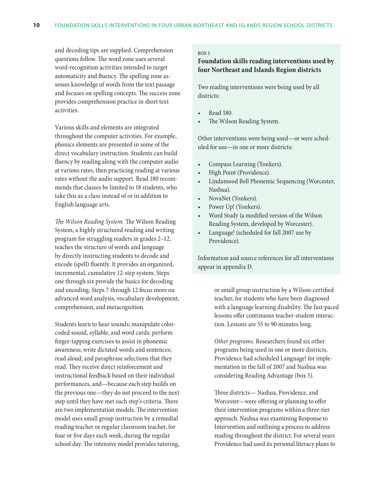<span id="page-16-0"></span>and decoding tips are supplied. Comprehension questions follow. The word zone uses several word-recognition activities intended to target automaticity and fluency. The spelling zone assesses knowledge of words from the text passage and focuses on spelling concepts. The success zone provides comprehension practice in short text activities.

Various skills and elements are integrated throughout the computer activities. For example, phonics elements are presented in some of the direct vocabulary instruction. Students can build fluency by reading along with the computer audio at various rates, then practicing reading at various rates without the audio support. Read 180 recommends that classes be limited to 18 students, who take this as a class instead of or in addition to English language arts.

*The Wilson Reading System.* The Wilson Reading System, a highly structured reading and writing program for struggling readers in grades 2–12, teaches the structure of words and language by directly instructing students to decode and encode (spell) fluently. It provides an organized, incremental, cumulative 12-step system. Steps one through six provide the basics for decoding and encoding. Steps 7 through 12 focus more on advanced word analysis, vocabulary development, comprehension, and metacognition.

Students learn to hear sounds; manipulate colorcoded sound, syllable, and word cards; perform finger-tapping exercises to assist in phonemic awareness; write dictated words and sentences; read aloud; and paraphrase selections that they read. They receive direct reinforcement and instructional feedback based on their individual performances, and—because each step builds on the previous one—they do not proceed to the next step until they have met each step's criteria. There are two implementation models. The intervention model uses small group instruction by a remedial reading teacher or regular classroom teacher, for four or five days each week, during the regular school day. The intensive model provides tutoring,

#### Box 5

#### **Foundation skills reading interventions used by four Northeast and Islands Region districts**

Two reading interventions were being used by all districts:

- Read 180.
- The Wilson Reading System.

Other interventions were being used—or were scheduled for use—in one or more districts:

- Compass Learning (Yonkers).
- High Point (Providence).
- Lindamood Bell Phonemic Sequencing (Worcester, Nashua).
- NovaNet (Yonkers).
- Power Up! (Yonkers).
- Word Study (a modified version of the Wilson Reading System, developed by Worcester).
- Language! (scheduled for fall 2007 use by Providence).

Information and source references for all interventions appear in appendix D.

> or small group instruction by a Wilson-certified teacher, for students who have been diagnosed with a language learning disability. The fast-paced lessons offer continuous teacher-student interaction. Lessons are 55 to 90 minutes long.

*Other programs.* Researchers found six other programs being used in one or more districts. Providence had scheduled Language! for implementation in the fall of 2007 and Nashua was considering Reading Advantage (box 5).

Three districts— Nashua, Providence, and Worcester—were offering or planning to offer their intervention programs within a three-tier approach. Nashua was examining Response to Intervention and outlining a process to address reading throughout the district. For several years Providence had used its personal literacy plans to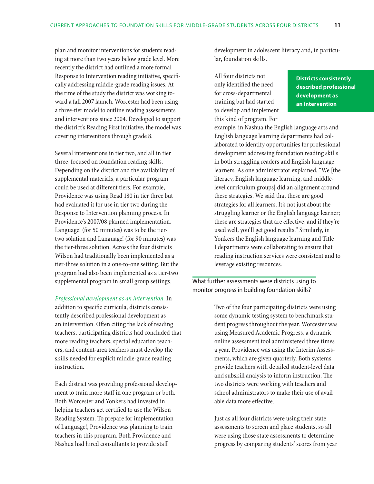<span id="page-17-0"></span>plan and monitor interventions for students reading at more than two years below grade level. More recently the district had outlined a more formal Response to Intervention reading initiative, specifically addressing middle-grade reading issues. At the time of the study the district was working toward a fall 2007 launch. Worcester had been using a three-tier model to outline reading assessments and interventions since 2004. Developed to support the district's Reading First initiative, the model was covering interventions through grade 8.

Several interventions in tier two, and all in tier three, focused on foundation reading skills. Depending on the district and the availability of supplemental materials, a particular program could be used at different tiers. For example, Providence was using Read 180 in tier three but had evaluated it for use in tier two during the Response to Intervention planning process. In Providence's 2007/08 planned implementation, Language! (for 50 minutes) was to be the tiertwo solution and Language! (for 90 minutes) was the tier-three solution. Across the four districts Wilson had traditionally been implemented as a tier-three solution in a one-to-one setting. But the program had also been implemented as a tier-two supplemental program in small group settings.

*Professional development as an intervention.* In addition to specific curricula, districts consistently described professional development as an intervention. Often citing the lack of reading teachers, participating districts had concluded that more reading teachers, special education teachers, and content-area teachers must develop the skills needed for explicit middle-grade reading instruction.

Each district was providing professional development to train more staff in one program or both. Both Worcester and Yonkers had invested in helping teachers get certified to use the Wilson Reading System. To prepare for implementation of Language!, Providence was planning to train teachers in this program. Both Providence and Nashua had hired consultants to provide staff

development in adolescent literacy and, in particular, foundation skills.

All four districts not only identified the need for cross-departmental training but had started to develop and implement this kind of program. For

**Districts consistently described professional development as an intervention**

example, in Nashua the English language arts and English language learning departments had collaborated to identify opportunities for professional development addressing foundation reading skills in both struggling readers and English language learners. As one administrator explained, "We [the literacy, English language learning, and middlelevel curriculum groups] did an alignment around these strategies. We said that these are good strategies for all learners. It's not just about the struggling learner or the English language learner; these are strategies that are effective, and if they're used well, you'll get good results." Similarly, in Yonkers the English language learning and Title I departments were collaborating to ensure that reading instruction services were consistent and to leverage existing resources.

What further assessments were districts using to monitor progress in building foundation skills?

> Two of the four participating districts were using some dynamic testing system to benchmark student progress throughout the year. Worcester was using Measured Academic Progress, a dynamic online assessment tool administered three times a year. Providence was using the Interim Assessments, which are given quarterly. Both systems provide teachers with detailed student-level data and subskill analysis to inform instruction. The two districts were working with teachers and school administrators to make their use of available data more effective.

> Just as all four districts were using their state assessments to screen and place students, so all were using those state assessments to determine progress by comparing students' scores from year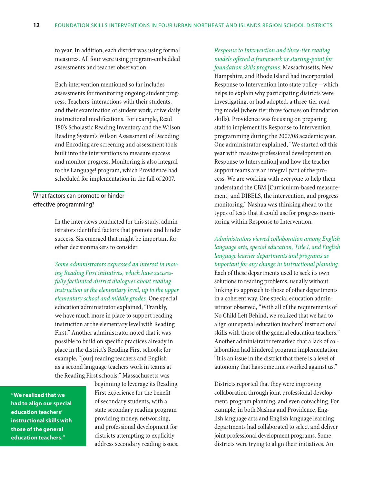<span id="page-18-0"></span>to year. In addition, each district was using formal measures. All four were using program-embedded assessments and teacher observation.

Each intervention mentioned so far includes assessments for monitoring ongoing student progress. Teachers' interactions with their students, and their examination of student work, drive daily instructional modifications. For example, Read 180's Scholastic Reading Inventory and the Wilson Reading System's Wilson Assessment of Decoding and Encoding are screening and assessment tools built into the interventions to measure success and monitor progress. Monitoring is also integral to the Language! program, which Providence had scheduled for implementation in the fall of 2007.

#### What factors can promote or hinder effective programming?

In the interviews conducted for this study, administrators identified factors that promote and hinder success. Six emerged that might be important for other decisionmakers to consider.

*Some administrators expressed an interest in moving Reading First initiatives, which have successfully facilitated district dialogues about reading instruction at the elementary level, up to the upper elementary school and middle grades.* One special education administrator explained, "Frankly, we have much more in place to support reading instruction at the elementary level with Reading First." Another administrator noted that it was possible to build on specific practices already in place in the district's Reading First schools: for example, "[our] reading teachers and English as a second language teachers work in teams at the Reading First schools." Massachusetts was

**"We realized that we had to align our special education teachers' instructional skills with those of the general education teachers."**

beginning to leverage its Reading First experience for the benefit of secondary students, with a state secondary reading program providing money, networking, and professional development for districts attempting to explicitly address secondary reading issues.

# *Response to Intervention and three-tier reading models offered a framework or starting-point for*

*foundation skills programs.* Massachusetts, New Hampshire, and Rhode Island had incorporated Response to Intervention into state policy—which helps to explain why participating districts were investigating, or had adopted, a three-tier reading model (where tier three focuses on foundation skills). Providence was focusing on preparing staff to implement its Response to Intervention programming during the 2007/08 academic year. One administrator explained, "We started off this year with massive professional development on Response to Intervention] and how the teacher support teams are an integral part of the process. We are working with everyone to help them understand the CBM [Curriculum-based measurement] and DIBELS, the intervention, and progress monitoring." Nashua was thinking ahead to the types of tests that it could use for progress monitoring within Response to Intervention.

#### *Administrators viewed collaboration among English language arts, special education, Title I, and English language learner departments and programs as important for any change in instructional planning.*

Each of these departments used to seek its own solutions to reading problems, usually without linking its approach to those of other departments in a coherent way. One special education administrator observed, "With all of the requirements of No Child Left Behind, we realized that we had to align our special education teachers' instructional skills with those of the general education teachers." Another administrator remarked that a lack of collaboration had hindered program implementation: "It is an issue in the district that there is a level of autonomy that has sometimes worked against us."

Districts reported that they were improving collaboration through joint professional development, program planning, and even coteaching. For example, in both Nashua and Providence, English language arts and English language learning departments had collaborated to select and deliver joint professional development programs. Some districts were trying to align their initiatives. An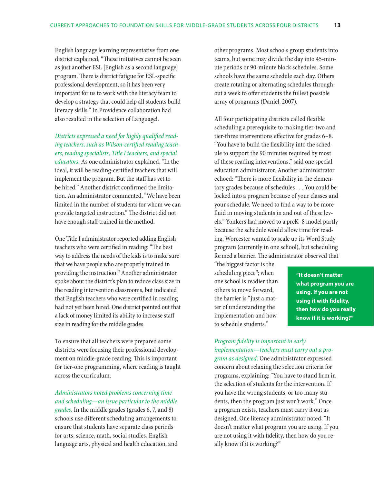English language learning representative from one district explained, "These initiatives cannot be seen as just another ESL [English as a second language] program. There is district fatigue for ESL-specific professional development, so it has been very important for us to work with the literacy team to develop a strategy that could help all students build literacy skills." In Providence collaboration had also resulted in the selection of Language!.

*Districts expressed a need for highly qualified reading teachers, such as Wilson-certified reading teachers, reading specialists, Title I teachers, and special educators.* As one administrator explained, "In the ideal, it will be reading-certified teachers that will implement the program. But the staff has yet to be hired." Another district confirmed the limitation. An administrator commented, "We have been limited in the number of students for whom we can provide targeted instruction." The district did not have enough staff trained in the method.

One Title I administrator reported adding English teachers who were certified in reading: "The best way to address the needs of the kids is to make sure that we have people who are properly trained in providing the instruction." Another administrator spoke about the district's plan to reduce class size in the reading intervention classrooms, but indicated that English teachers who were certified in reading had not yet been hired. One district pointed out that a lack of money limited its ability to increase staff size in reading for the middle grades.

To ensure that all teachers were prepared some districts were focusing their professional development on middle-grade reading. This is important for tier-one programming, where reading is taught across the curriculum.

*Administrators noted problems concerning time and scheduling—an issue particular to the middle grades.* In the middle grades (grades 6, 7, and 8) schools use different scheduling arrangements to ensure that students have separate class periods for arts, science, math, social studies, English language arts, physical and health education, and other programs. Most schools group students into teams, but some may divide the day into 45-minute periods or 90-minute block schedules. Some schools have the same schedule each day. Others create rotating or alternating schedules throughout a week to offer students the fullest possible array of programs (Daniel, 2007).

All four participating districts called flexible scheduling a prerequisite to making tier-two and tier-three interventions effective for grades 6–8. "You have to build the flexibility into the schedule to support the 90 minutes required by most of these reading interventions," said one special education administrator. Another administrator echoed: "There is more flexibility in the elementary grades because of schedules . . . You could be locked into a program because of your classes and your schedule. We need to find a way to be more fluid in moving students in and out of these levels." Yonkers had moved to a preK–8 model partly because the schedule would allow time for reading. Worcester wanted to scale up its Word Study program (currently in one school), but scheduling formed a barrier. The administrator observed that

"the biggest factor is the scheduling piece"; when one school is readier than others to move forward, the barrier is "just a matter of understanding the implementation and how to schedule students."

**"It doesn't matter what program you are using. If you are not using it with fidelity, then how do you really know if it is working?"**

*Program fidelity is important in early implementation—teachers must carry out a pro-*

*gram as designed.* One administrator expressed concern about relaxing the selection criteria for programs, explaining: "You have to stand firm in the selection of students for the intervention. If you have the wrong students, or too many students, then the program just won't work." Once a program exists, teachers must carry it out as designed. One literacy administrator noted, "It doesn't matter what program you are using. If you are not using it with fidelity, then how do you really know if it is working?"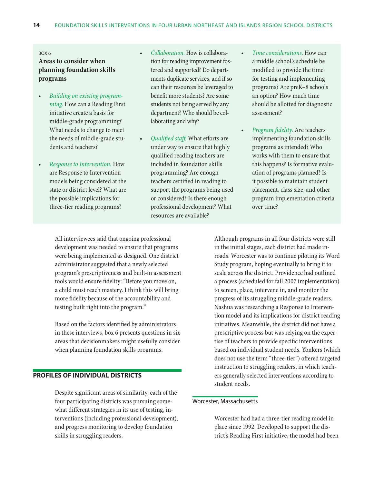#### <span id="page-20-0"></span>Box 6

#### **Areas to consider when planning foundation skills programs**

- • *Building on existing programming.* How can a Reading First initiative create a basis for middle-grade programming? What needs to change to meet the needs of middle-grade students and teachers?
- • *Response to Intervention.* How are Response to Intervention models being considered at the state or district level? What are the possible implications for three-tier reading programs?
- • *Collaboration.* How is collaboration for reading improvement fostered and supported? Do departments duplicate services, and if so can their resources be leveraged to benefit more students? Are some students not being served by any department? Who should be collaborating and why?
- • *Qualified staff.* What efforts are under way to ensure that highly qualified reading teachers are included in foundation skills programming? Are enough teachers certified in reading to support the programs being used or considered? Is there enough professional development? What resources are available?
- *Time considerations.* How can a middle school's schedule be modified to provide the time for testing and implementing programs? Are preK–8 schools an option? How much time should be allotted for diagnostic assessment?
- *Program fidelity.* Are teachers implementing foundation skills programs as intended? Who works with them to ensure that this happens? Is formative evaluation of programs planned? Is it possible to maintain student placement, class size, and other program implementation criteria over time?

All interviewees said that ongoing professional development was needed to ensure that programs were being implemented as designed. One district administrator suggested that a newly selected program's prescriptiveness and built-in assessment tools would ensure fidelity: "Before you move on, a child must reach mastery. I think this will bring more fidelity because of the accountability and testing built right into the program."

Based on the factors identified by administrators in these interviews, box 6 presents questions in six areas that decisionmakers might usefully consider when planning foundation skills programs.

#### **Profiles of individual districts**

Despite significant areas of similarity, each of the four participating districts was pursuing somewhat different strategies in its use of testing, interventions (including professional development), and progress monitoring to develop foundation skills in struggling readers.

Although programs in all four districts were still in the initial stages, each district had made inroads. Worcester was to continue piloting its Word Study program, hoping eventually to bring it to scale across the district. Providence had outlined a process (scheduled for fall 2007 implementation) to screen, place, intervene in, and monitor the progress of its struggling middle-grade readers. Nashua was researching a Response to Intervention model and its implications for district reading initiatives. Meanwhile, the district did not have a prescriptive process but was relying on the expertise of teachers to provide specific interventions based on individual student needs. Yonkers (which does not use the term "three-tier") offered targeted instruction to struggling readers, in which teachers generally selected interventions according to student needs.

#### Worcester, Massachusetts

Worcester had had a three-tier reading model in place since 1992. Developed to support the district's Reading First initiative, the model had been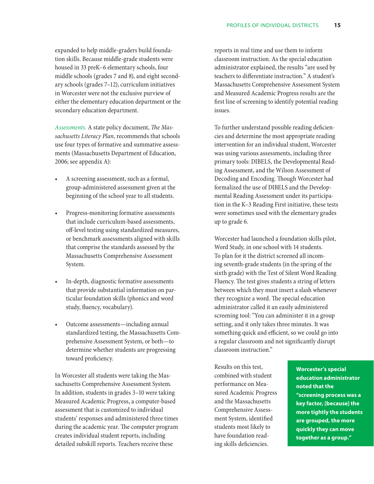expanded to help middle-graders build foundation skills. Because middle-grade students were housed in 33 preK–6 elementary schools, four middle schools (grades 7 and 8), and eight secondary schools (grades 7–12), curriculum initiatives in Worcester were not the exclusive purview of either the elementary education department or the secondary education department.

*Assessments.* A state policy document, *The Massachusetts Literacy Plan,* recommends that schools use four types of formative and summative assessments (Massachusetts Department of Education, 2006; see appendix A):

- A screening assessment, such as a formal, group-administered assessment given at the beginning of the school year to all students.
- Progress-monitoring formative assessments that include curriculum-based assessments, off-level testing using standardized measures, or benchmark assessments aligned with skills that comprise the standards assessed by the Massachusetts Comprehensive Assessment System*.*
- In-depth, diagnostic formative assessments that provide substantial information on particular foundation skills (phonics and word study, fluency, vocabulary).
- Outcome assessments—including annual standardized testing, the Massachusetts Comprehensive Assessment System, or both—to determine whether students are progressing toward proficiency.

In Worcester all students were taking the Massachusetts Comprehensive Assessment System. In addition, students in grades 3–10 were taking Measured Academic Progress, a computer-based assessment that is customized to individual students' responses and administered three times during the academic year. The computer program creates individual student reports, including detailed subskill reports. Teachers receive these

reports in real time and use them to inform classroom instruction. As the special education administrator explained, the results "are used by teachers to differentiate instruction." A student's Massachusetts Comprehensive Assessment System and Measured Academic Progress results are the first line of screening to identify potential reading issues.

To further understand possible reading deficiencies and determine the most appropriate reading intervention for an individual student, Worcester was using various assessments, including three primary tools: DIBELS, the Developmental Reading Assessment, and the Wilson Assessment of Decoding and Encoding. Though Worcester had formalized the use of DIBELS and the Developmental Reading Assessment under its participation in the K–3 Reading First initiative, these tests were sometimes used with the elementary grades up to grade 6.

Worcester had launched a foundation skills pilot, Word Study*,* in one school with 14 students. To plan for it the district screened all incoming seventh-grade students (in the spring of the sixth grade) with the Test of Silent Word Reading Fluency. The test gives students a string of letters between which they must insert a slash whenever they recognize a word. The special education administrator called it an easily administered screening tool: "You can administer it in a group setting, and it only takes three minutes. It was something quick and efficient, so we could go into a regular classroom and not significantly disrupt classroom instruction."

Results on this test, combined with student performance on Measured Academic Progress and the Massachusetts Comprehensive Assessment System, identified students most likely to have foundation reading skills deficiencies.

**Worcester's special education administrator noted that the "screening process was a key factor, [because] the more tightly the students are grouped, the more quickly they can move together as a group."**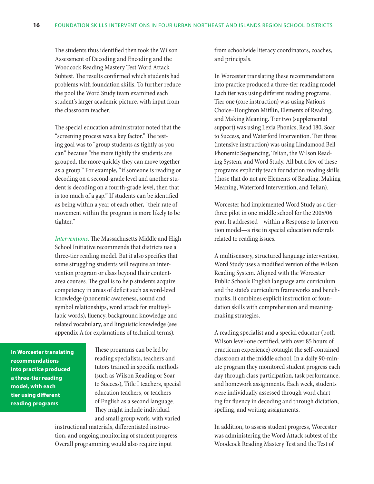The students thus identified then took the Wilson Assessment of Decoding and Encoding and the Woodcock Reading Mastery Test Word Attack Subtest. The results confirmed which students had problems with foundation skills. To further reduce the pool the Word Study team examined each student's larger academic picture, with input from the classroom teacher.

The special education administrator noted that the "screening process was a key factor." The testing goal was to "group students as tightly as you can" because "the more tightly the students are grouped, the more quickly they can move together as a group." For example, "if someone is reading or decoding on a second-grade level and another student is decoding on a fourth-grade level, then that is too much of a gap." If students can be identified as being within a year of each other, "their rate of movement within the program is more likely to be tighter."

*Interventions.* The Massachusetts Middle and High School Initiative recommends that districts use a three-tier reading model. But it also specifies that some struggling students will require an intervention program or class beyond their contentarea courses. The goal is to help students acquire competency in areas of deficit such as word-level knowledge (phonemic awareness, sound and symbol relationships, word attack for multisyllabic words), fluency, background knowledge and related vocabulary, and linguistic knowledge (see appendix A for explanations of technical terms).

**In Worcester translating recommendations into practice produced a three-tier reading model, with each tier using different reading programs**

These programs can be led by reading specialists, teachers and tutors trained in specific methods (such as Wilson Reading or Soar to Success), Title I teachers, special education teachers, or teachers of English as a second language. They might include individual and small group work, with varied

instructional materials, differentiated instruction, and ongoing monitoring of student progress. Overall programming would also require input

from schoolwide literacy coordinators, coaches, and principals.

In Worcester translating these recommendations into practice produced a three-tier reading model. Each tier was using different reading programs. Tier one (core instruction) was using Nation's Choice–Houghton Mifflin, Elements of Reading, and Making Meaning. Tier two (supplemental support) was using Lexia Phonics, Read 180, Soar to Success, and Waterford Intervention. Tier three (intensive instruction) was using Lindamood Bell Phonemic Sequencing, Telian, the Wilson Reading System, and Word Study. All but a few of these programs explicitly teach foundation reading skills (those that do not are Elements of Reading, Making Meaning, Waterford Intervention, and Telian).

Worcester had implemented Word Study as a tierthree pilot in one middle school for the 2005/06 year. It addressed—within a Response to Intervention model—a rise in special education referrals related to reading issues.

A multisensory, structured language intervention, Word Study uses a modified version of the Wilson Reading System. Aligned with the Worcester Public Schools English language arts curriculum and the state's curriculum frameworks and benchmarks, it combines explicit instruction of foundation skills with comprehension and meaningmaking strategies.

A reading specialist and a special educator (both Wilson level-one certified, with over 85 hours of practicum experience) cotaught the self-contained classroom at the middle school. In a daily 90-minute program they monitored student progress each day through class participation, task performance, and homework assignments. Each week, students were individually assessed through word charting for fluency in decoding and through dictation, spelling, and writing assignments.

In addition, to assess student progress, Worcester was administering the Word Attack subtest of the Woodcock Reading Mastery Test and the Test of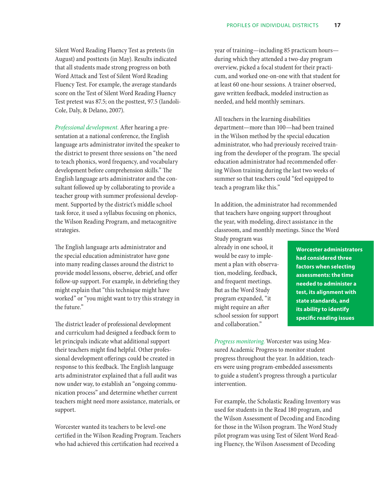Silent Word Reading Fluency Test as pretests (in August) and posttests (in May). Results indicated that all students made strong progress on both Word Attack and Test of Silent Word Reading Fluency Test. For example, the average standards score on the Test of Silent Word Reading Fluency Test pretest was 87.5; on the posttest, 97.5 (Iandoli-Cole, Daly, & Delano, 2007).

*Professional development.* After hearing a presentation at a national conference, the English language arts administrator invited the speaker to the district to present three sessions on "the need to teach phonics, word frequency, and vocabulary development before comprehension skills." The English language arts administrator and the consultant followed up by collaborating to provide a teacher group with summer professional development. Supported by the district's middle school task force, it used a syllabus focusing on phonics, the Wilson Reading Program, and metacognitive strategies.

The English language arts administrator and the special education administrator have gone into many reading classes around the district to provide model lessons, observe, debrief, and offer follow-up support. For example, in debriefing they might explain that "this technique might have worked" or "you might want to try this strategy in the future."

The district leader of professional development and curriculum had designed a feedback form to let principals indicate what additional support their teachers might find helpful. Other professional development offerings could be created in response to this feedback. The English language arts administrator explained that a full audit was now under way, to establish an "ongoing communication process" and determine whether current teachers might need more assistance, materials, or support.

Worcester wanted its teachers to be level-one certified in the Wilson Reading Program. Teachers who had achieved this certification had received a

year of training—including 85 practicum hours during which they attended a two-day program overview, picked a focal student for their practicum, and worked one-on-one with that student for at least 60 one-hour sessions. A trainer observed, gave written feedback, modeled instruction as needed, and held monthly seminars.

All teachers in the learning disabilities department—more than 100—had been trained in the Wilson method by the special education administrator, who had previously received training from the developer of the program. The special education administrator had recommended offering Wilson training during the last two weeks of summer so that teachers could "feel equipped to teach a program like this."

In addition, the administrator had recommended that teachers have ongoing support throughout the year, with modeling, direct assistance in the classroom, and monthly meetings. Since the Word

Study program was already in one school, it would be easy to implement a plan with observation, modeling, feedback, and frequent meetings. But as the Word Study program expanded, "it might require an after school session for support and collaboration."

**Worcester administrators had considered three factors when selecting assessments: the time needed to administer a test, its alignment with state standards, and its ability to identify specific reading issues**

*Progress monitoring.* Worcester was using Measured Academic Progress to monitor student progress throughout the year. In addition, teachers were using program-embedded assessments to guide a student's progress through a particular intervention.

For example, the Scholastic Reading Inventory was used for students in the Read 180 program, and the Wilson Assessment of Decoding and Encoding for those in the Wilson program. The Word Study pilot program was using Test of Silent Word Reading Fluency, the Wilson Assessment of Decoding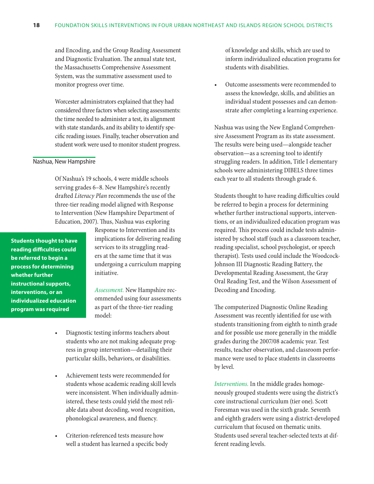<span id="page-24-0"></span>and Encoding, and the Group Reading Assessment and Diagnostic Evaluation. The annual state test, the Massachusetts Comprehensive Assessment System, was the summative assessment used to monitor progress over time.

Worcester administrators explained that they had considered three factors when selecting assessments: the time needed to administer a test, its alignment with state standards, and its ability to identify specific reading issues. Finally, teacher observation and student work were used to monitor student progress.

#### Nashua, New Hampshire

Of Nashua's 19 schools, 4 were middle schools serving grades 6–8. New Hampshire's recently drafted *Literacy Plan* recommends the use of the three-tier reading model aligned with Response to Intervention (New Hampshire Department of Education, 2007). Thus, Nashua was exploring

**Students thought to have reading difficulties could be referred to begin a process for determining whether further instructional supports, interventions, or an individualized education program was required**

Response to Intervention and its implications for delivering reading services to its struggling readers at the same time that it was undergoing a curriculum mapping initiative.

*Assessment.* New Hampshire recommended using four assessments as part of the three-tier reading model:

- Diagnostic testing informs teachers about students who are not making adequate progress in group intervention—detailing their particular skills, behaviors, or disabilities.
- Achievement tests were recommended for students whose academic reading skill levels were inconsistent. When individually administered, these tests could yield the most reliable data about decoding, word recognition, phonological awareness, and fluency.
- Criterion-referenced tests measure how well a student has learned a specific body

of knowledge and skills, which are used to inform individualized education programs for students with disabilities.

Outcome assessments were recommended to assess the knowledge, skills, and abilities an individual student possesses and can demonstrate after completing a learning experience.

Nashua was using the New England Comprehensive Assessment Program as its state assessment. The results were being used—alongside teacher observation—as a screening tool to identify struggling readers. In addition, Title I elementary schools were administering DIBELS three times each year to all students through grade 6.

Students thought to have reading difficulties could be referred to begin a process for determining whether further instructional supports, interventions, or an individualized education program was required. This process could include tests administered by school staff (such as a classroom teacher, reading specialist, school psychologist, or speech therapist). Tests used could include the Woodcock-Johnson III Diagnostic Reading Battery, the Developmental Reading Assessment, the Gray Oral Reading Test, and the Wilson Assessment of Decoding and Encoding.

The computerized Diagnostic Online Reading Assessment was recently identified for use with students transitioning from eighth to ninth grade and for possible use more generally in the middle grades during the 2007/08 academic year. Test results, teacher observation, and classroom performance were used to place students in classrooms by level.

*Interventions.* In the middle grades homogeneously grouped students were using the district's core instructional curriculum (tier one). Scott Foresman was used in the sixth grade. Seventh and eighth graders were using a district-developed curriculum that focused on thematic units. Students used several teacher-selected texts at different reading levels.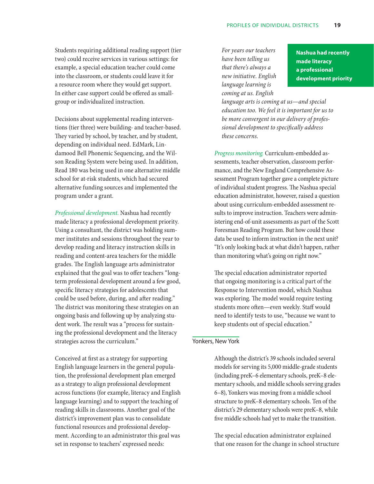<span id="page-25-0"></span>Students requiring additional reading support (tier two) could receive services in various settings: for example, a special education teacher could come into the classroom, or students could leave it for a resource room where they would get support. In either case support could be offered as smallgroup or individualized instruction.

Decisions about supplemental reading interventions (tier three) were building- and teacher-based. They varied by school, by teacher, and by student, depending on individual need. EdMark, Lindamood Bell Phonemic Sequencing, and the Wilson Reading System were being used. In addition, Read 180 was being used in one alternative middle school for at-risk students, which had secured alternative funding sources and implemented the program under a grant.

*Professional development.* Nashua had recently made literacy a professional development priority. Using a consultant, the district was holding summer institutes and sessions throughout the year to develop reading and literacy instruction skills in reading and content-area teachers for the middle grades. The English language arts administrator explained that the goal was to offer teachers "longterm professional development around a few good, specific literacy strategies for adolescents that could be used before, during, and after reading." The district was monitoring these strategies on an ongoing basis and following up by analyzing student work. The result was a "process for sustaining the professional development and the literacy strategies across the curriculum."

Conceived at first as a strategy for supporting English language learners in the general population, the professional development plan emerged as a strategy to align professional development across functions (for example, literacy and English language learning) and to support the teaching of reading skills in classrooms. Another goal of the district's improvement plan was to consolidate functional resources and professional development. According to an administrator this goal was set in response to teachers' expressed needs:

*For years our teachers have been telling us that there's always a new initiative. English language learning is coming at us. English* 

**Nashua had recently made literacy a professional development priority**

*language arts is coming at us—and special education too. We feel it is important for us to be more convergent in our delivery of professional development to specifically address these concerns.*

*Progress monitoring.* Curriculum-embedded assessments, teacher observation, classroom performance, and the New England Comprehensive Assessment Program together gave a complete picture of individual student progress. The Nashua special education administrator, however, raised a question about using curriculum-embedded assessment results to improve instruction. Teachers were administering end-of-unit assessments as part of the Scott Foresman Reading Program. But how could these data be used to inform instruction in the next unit? "It's only looking back at what didn't happen, rather than monitoring what's going on right now."

The special education administrator reported that ongoing monitoring is a critical part of the Response to Intervention model, which Nashua was exploring. The model would require testing students more often—even weekly. Staff would need to identify tests to use, "because we want to keep students out of special education."

#### Yonkers, New York

Although the district's 39 schools included several models for serving its 5,000 middle-grade students (including preK–6 elementary schools, preK–8 elementary schools, and middle schools serving grades 6–8), Yonkers was moving from a middle school structure to preK–8 elementary schools. Ten of the district's 29 elementary schools were preK–8, while five middle schools had yet to make the transition.

The special education administrator explained that one reason for the change in school structure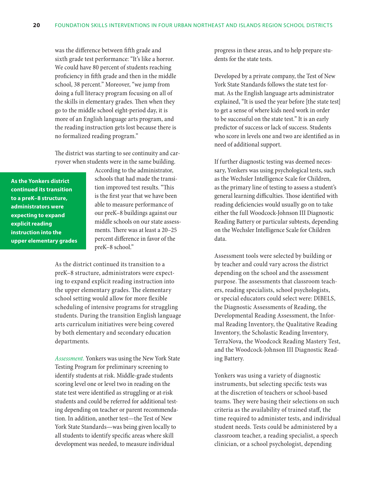was the difference between fifth grade and sixth grade test performance: "It's like a horror. We could have 80 percent of students reaching proficiency in fifth grade and then in the middle school, 38 percent." Moreover, "we jump from doing a full literacy program focusing on all of the skills in elementary grades. Then when they go to the middle school eight-period day, it is more of an English language arts program, and the reading instruction gets lost because there is no formalized reading program."

The district was starting to see continuity and carryover when students were in the same building.

**As the Yonkers district continued its transition to a preK–8 structure, administrators were expecting to expand explicit reading instruction into the upper elementary grades** According to the administrator, schools that had made the transition improved test results. "This is the first year that we have been able to measure performance of our preK–8 buildings against our middle schools on our state assessments. There was at least a 20–25 percent difference in favor of the preK–8 school."

As the district continued its transition to a preK–8 structure, administrators were expecting to expand explicit reading instruction into the upper elementary grades. The elementary school setting would allow for more flexible scheduling of intensive programs for struggling students. During the transition English language arts curriculum initiatives were being covered by both elementary and secondary education departments.

*Assessment.* Yonkers was using the New York State Testing Program for preliminary screening to identify students at risk. Middle-grade students scoring level one or level two in reading on the state test were identified as struggling or at-risk students and could be referred for additional testing depending on teacher or parent recommendation. In addition, another test—the Test of New York State Standards—was being given locally to all students to identify specific areas where skill development was needed, to measure individual

progress in these areas, and to help prepare students for the state tests.

Developed by a private company, the Test of New York State Standards follows the state test format. As the English language arts administrator explained, "It is used the year before [the state test] to get a sense of where kids need work in order to be successful on the state test." It is an early predictor of success or lack of success. Students who score in levels one and two are identified as in need of additional support.

If further diagnostic testing was deemed necessary, Yonkers was using psychological tests, such as the Wechsler Intelligence Scale for Children, as the primary line of testing to assess a student's general learning difficulties. Those identified with reading deficiencies would usually go on to take either the full Woodcock-Johnson III Diagnostic Reading Battery or particular subtests, depending on the Wechsler Intelligence Scale for Children data.

Assessment tools were selected by building or by teacher and could vary across the district depending on the school and the assessment purpose. The assessments that classroom teachers, reading specialists, school psychologists, or special educators could select were: DIBELS, the Diagnostic Assessments of Reading, the Developmental Reading Assessment, the Informal Reading Inventory, the Qualitative Reading Inventory, the Scholastic Reading Inventory, TerraNova, the Woodcock Reading Mastery Test, and the Woodcock-Johnson III Diagnostic Reading Battery.

Yonkers was using a variety of diagnostic instruments, but selecting specific tests was at the discretion of teachers or school-based teams. They were basing their selections on such criteria as the availability of trained staff, the time required to administer tests, and individual student needs. Tests could be administered by a classroom teacher, a reading specialist, a speech clinician, or a school psychologist, depending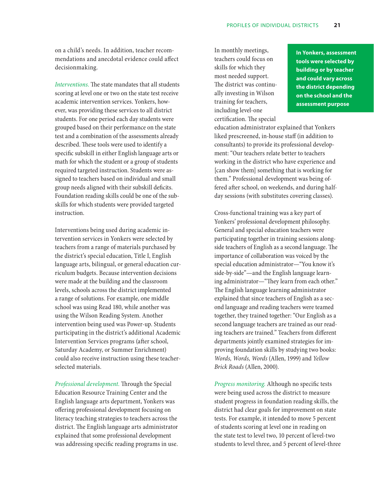on a child's needs. In addition, teacher recommendations and anecdotal evidence could affect decisionmaking.

*Interventions.* The state mandates that all students scoring at level one or two on the state test receive academic intervention services. Yonkers, however, was providing these services to all district students. For one period each day students were grouped based on their performance on the state test and a combination of the assessments already described. These tools were used to identify a specific subskill in either English language arts or math for which the student or a group of students required targeted instruction. Students were assigned to teachers based on individual and small group needs aligned with their subskill deficits. Foundation reading skills could be one of the subskills for which students were provided targeted instruction.

Interventions being used during academic intervention services in Yonkers were selected by teachers from a range of materials purchased by the district's special education, Title I, English language arts, bilingual, or general education curriculum budgets. Because intervention decisions were made at the building and the classroom levels, schools across the district implemented a range of solutions. For example, one middle school was using Read 180, while another was using the Wilson Reading System. Another intervention being used was Power-up. Students participating in the district's additional Academic Intervention Services programs (after school, Saturday Academy, or Summer Enrichment) could also receive instruction using these teacherselected materials.

*Professional development.* Through the Special Education Resource Training Center and the English language arts department, Yonkers was offering professional development focusing on literacy teaching strategies to teachers across the district. The English language arts administrator explained that some professional development was addressing specific reading programs in use.

In monthly meetings, teachers could focus on skills for which they most needed support. The district was continually investing in Wilson training for teachers, including level-one certification. The special

**In Yonkers, assessment tools were selected by building or by teacher and could vary across the district depending on the school and the assessment purpose**

education administrator explained that Yonkers liked prescreened, in-house staff (in addition to consultants) to provide its professional development: "Our teachers relate better to teachers working in the district who have experience and [can show them] something that is working for them." Professional development was being offered after school, on weekends, and during halfday sessions (with substitutes covering classes).

Cross-functional training was a key part of Yonkers' professional development philosophy. General and special education teachers were participating together in training sessions alongside teachers of English as a second language. The importance of collaboration was voiced by the special education administrator—"You know it's side-by-side"—and the English language learning administrator—"They learn from each other." The English language learning administrator explained that since teachers of English as a second language and reading teachers were teamed together, they trained together: "Our English as a second language teachers are trained as our reading teachers are trained." Teachers from different departments jointly examined strategies for improving foundation skills by studying two books: *Words, Words, Words* (Allen, 1999) and *Yellow Brick Roads* (Allen, 2000).

*Progress monitoring.* Although no specific tests were being used across the district to measure student progress in foundation reading skills, the district had clear goals for improvement on state tests. For example, it intended to move 5 percent of students scoring at level one in reading on the state test to level two, 10 percent of level-two students to level three, and 5 percent of level-three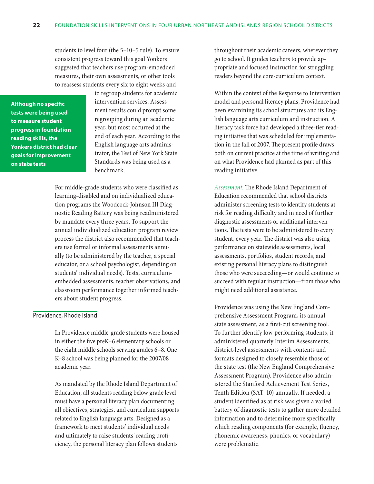<span id="page-28-0"></span>students to level four (the 5–10–5 rule). To ensure consistent progress toward this goal Yonkers suggested that teachers use program-embedded measures, their own assessments, or other tools to reassess students every six to eight weeks and

**Although no specific tests were being used to measure student progress in foundation reading skills, the Yonkers district had clear goals for improvement on state tests**

to regroup students for academic intervention services. Assessment results could prompt some regrouping during an academic year, but most occurred at the end of each year. According to the English language arts administrator, the Test of New York State Standards was being used as a benchmark.

For middle-grade students who were classified as learning-disabled and on individualized education programs the Woodcock-Johnson III Diagnostic Reading Battery was being readministered by mandate every three years. To support the annual individualized education program review process the district also recommended that teachers use formal or informal assessments annually (to be administered by the teacher, a special educator, or a school psychologist, depending on students' individual needs). Tests, curriculumembedded assessments, teacher observations, and classroom performance together informed teachers about student progress.

#### Providence, Rhode Island

In Providence middle-grade students were housed in either the five preK–6 elementary schools or the eight middle schools serving grades 6–8. One K–8 school was being planned for the 2007/08 academic year.

As mandated by the Rhode Island Department of Education, all students reading below grade level must have a personal literacy plan documenting all objectives, strategies, and curriculum supports related to English language arts. Designed as a framework to meet students' individual needs and ultimately to raise students' reading proficiency, the personal literacy plan follows students

throughout their academic careers, wherever they go to school. It guides teachers to provide appropriate and focused instruction for struggling readers beyond the core-curriculum context.

Within the context of the Response to Intervention model and personal literacy plans, Providence had been examining its school structures and its English language arts curriculum and instruction. A literacy task force had developed a three-tier reading initiative that was scheduled for implementation in the fall of 2007. The present profile draws both on current practice at the time of writing and on what Providence had planned as part of this reading initiative.

*Assessment.* The Rhode Island Department of Education recommended that school districts administer screening tests to identify students at risk for reading difficulty and in need of further diagnostic assessments or additional interventions. The tests were to be administered to every student, every year. The district was also using performance on statewide assessments, local assessments, portfolios, student records, and existing personal literacy plans to distinguish those who were succeeding—or would continue to succeed with regular instruction—from those who might need additional assistance.

Providence was using the New England Comprehensive Assessment Program, its annual state assessment, as a first-cut screening tool. To further identify low-performing students, it administered quarterly Interim Assessments, district-level assessments with contents and formats designed to closely resemble those of the state test (the New England Comprehensive Assessment Program). Providence also administered the Stanford Achievement Test Series, Tenth Edition (SAT–10) annually. If needed, a student identified as at risk was given a varied battery of diagnostic tests to gather more detailed information and to determine more specifically which reading components (for example, fluency, phonemic awareness, phonics, or vocabulary) were problematic.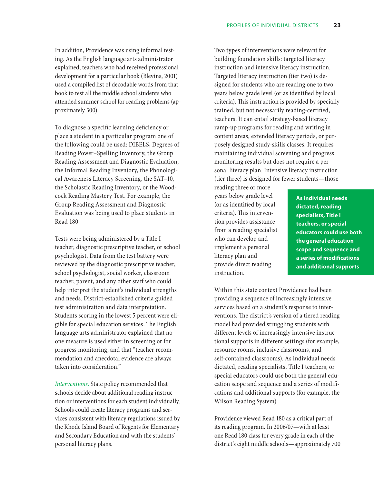In addition, Providence was using informal testing. As the English language arts administrator explained, teachers who had received professional development for a particular book (Blevins, 2001) used a compiled list of decodable words from that book to test all the middle school students who attended summer school for reading problems (approximately 500).

To diagnose a specific learning deficiency or place a student in a particular program one of the following could be used: DIBELS, Degrees of Reading Power–Spelling Inventory, the Group Reading Assessment and Diagnostic Evaluation, the Informal Reading Inventory, the Phonological Awareness Literacy Screening, the SAT–10, the Scholastic Reading Inventory, or the Woodcock Reading Mastery Test. For example, the Group Reading Assessment and Diagnostic Evaluation was being used to place students in Read 180.

Tests were being administered by a Title I teacher, diagnostic prescriptive teacher, or school psychologist. Data from the test battery were reviewed by the diagnostic prescriptive teacher, school psychologist, social worker, classroom teacher, parent, and any other staff who could help interpret the student's individual strengths and needs. District-established criteria guided test administration and data interpretation. Students scoring in the lowest 5 percent were eligible for special education services. The English language arts administrator explained that no one measure is used either in screening or for progress monitoring, and that "teacher recommendation and anecdotal evidence are always taken into consideration."

*Interventions.* State policy recommended that schools decide about additional reading instruction or interventions for each student individually. Schools could create literacy programs and services consistent with literacy regulations issued by the Rhode Island Board of Regents for Elementary and Secondary Education and with the students' personal literacy plans.

Two types of interventions were relevant for building foundation skills: targeted literacy instruction and intensive literacy instruction. Targeted literacy instruction (tier two) is designed for students who are reading one to two years below grade level (or as identified by local criteria). This instruction is provided by specially trained, but not necessarily reading-certified, teachers. It can entail strategy-based literacy ramp-up programs for reading and writing in content areas, extended literacy periods, or purposely designed study-skills classes. It requires maintaining individual screening and progress monitoring results but does not require a personal literacy plan. Intensive literacy instruction (tier three) is designed for fewer students—those

reading three or more years below grade level (or as identified by local criteria). This intervention provides assistance from a reading specialist who can develop and implement a personal literacy plan and provide direct reading instruction.

**As individual needs dictated, reading specialists, Title I teachers, or special educators could use both the general education scope and sequence and a series of modifications and additional supports**

Within this state context Providence had been providing a sequence of increasingly intensive services based on a student's response to interventions. The district's version of a tiered reading model had provided struggling students with different levels of increasingly intensive instructional supports in different settings (for example, resource rooms, inclusive classrooms, and self-contained classrooms). As individual needs dictated, reading specialists, Title I teachers, or special educators could use both the general education scope and sequence and a series of modifications and additional supports (for example, the Wilson Reading System).

Providence viewed Read 180 as a critical part of its reading program. In 2006/07—with at least one Read 180 class for every grade in each of the district's eight middle schools—approximately 700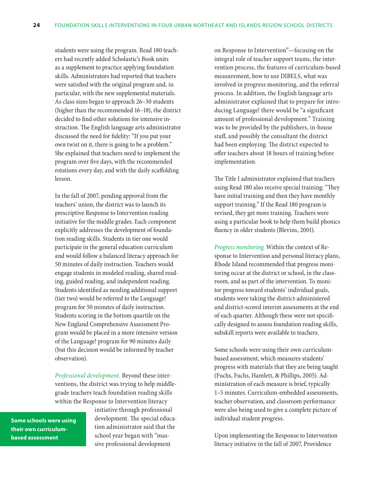students were using the program. Read 180 teachers had recently added Scholastic's Book units as a supplement to practice applying foundation skills. Administrators had reported that teachers were satisfied with the original program and, in particular, with the new supplemental materials. As class sizes began to approach 26–30 students (higher than the recommended 16–18), the district decided to find other solutions for intensive instruction. The English language arts administrator discussed the need for fidelity: "If you put your own twist on it, there is going to be a problem." She explained that teachers need to implement the program over five days, with the recommended rotations every day, and with the daily scaffolding lesson.

In the fall of 2007, pending approval from the teachers' union, the district was to launch its prescriptive Response to Intervention reading initiative for the middle grades. Each component explicitly addresses the development of foundation reading skills. Students in tier one would participate in the general education curriculum and would follow a balanced literacy approach for 50 minutes of daily instruction. Teachers would engage students in modeled reading, shared reading, guided reading, and independent reading. Students identified as needing additional support (tier two) would be referred to the Language! program for 50 minutes of daily instruction. Students scoring in the bottom quartile on the New England Comprehensive Assessment Program would be placed in a more intensive version of the Language! program for 90 minutes daily (but this decision would be informed by teacher observation).

*Professional development.* Beyond these interventions, the district was trying to help middlegrade teachers teach foundation reading skills within the Response to Intervention literacy

**Some schools were using their own curriculumbased assessment**

initiative through professional development. The special education administrator said that the school year began with "massive professional development

on Response to Intervention"—focusing on the integral role of teacher support teams, the intervention process, the features of curriculum-based measurement, how to use DIBELS, what was involved in progress monitoring, and the referral process. In addition, the English language arts administrator explained that to prepare for introducing Language! there would be "a significant amount of professional development." Training was to be provided by the publishers, in-house staff, and possibly the consultant the district had been employing. The district expected to offer teachers about 18 hours of training before implementation.

The Title I administrator explained that teachers using Read 180 also receive special training: "They have initial training and then they have monthly support training." If the Read 180 program is revised, they get more training. Teachers were using a particular book to help them build phonics fluency in older students (Blevins, 2001).

*Progress monitoring.* Within the context of Response to Intervention and personal literacy plans, Rhode Island recommended that progress monitoring occur at the district or school, in the classroom, and as part of the intervention. To monitor progress toward students' individual goals, students were taking the district-administered and district-scored interim assessments at the end of each quarter. Although these were not specifically designed to assess foundation reading skills, subskill reports were available to teachers.

Some schools were using their own curriculumbased assessment, which measures students' progress with materials that they are being taught (Fuchs, Fuchs, Hamlett, & Phillips, 2005). Administration of each measure is brief, typically 1–5 minutes. Curriculum-embedded assessments, teacher observation, and classroom performance were also being used to give a complete picture of individual student progress.

Upon implementing the Response to Intervention literacy initiative in the fall of 2007, Providence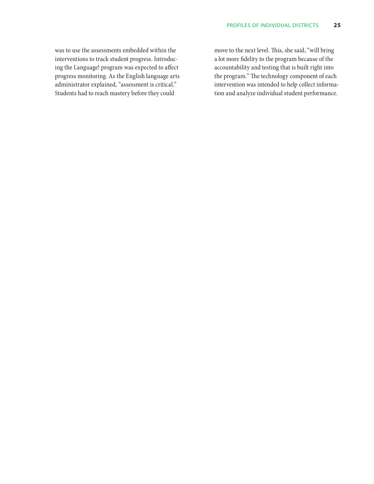was to use the assessments embedded within the interventions to track student progress. Introducing the Language! program was expected to affect progress monitoring. As the English language arts administrator explained, "assessment is critical." Students had to reach mastery before they could

move to the next level. This, she said, "will bring a lot more fidelity to the program because of the accountability and testing that is built right into the program." The technology component of each intervention was intended to help collect information and analyze individual student performance.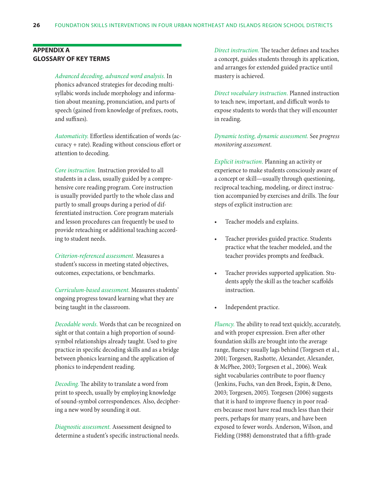#### <span id="page-32-0"></span>**Appendix A Glossary of key terms**

*Advanced decoding, advanced word analysis.* In phonics advanced strategies for decoding multisyllabic words include morphology and information about meaning, pronunciation, and parts of speech (gained from knowledge of prefixes, roots, and suffixes).

*Automaticity.* Effortless identification of words (accuracy + rate). Reading without conscious effort or attention to decoding.

*Core instruction.* Instruction provided to all students in a class, usually guided by a comprehensive core reading program. Core instruction is usually provided partly to the whole class and partly to small groups during a period of differentiated instruction. Core program materials and lesson procedures can frequently be used to provide reteaching or additional teaching according to student needs.

*Criterion-referenced assessment.* Measures a student's success in meeting stated objectives, outcomes, expectations, or benchmarks.

*Curriculum-based assessment.* Measures students' ongoing progress toward learning what they are being taught in the classroom.

*Decodable words.* Words that can be recognized on sight or that contain a high proportion of soundsymbol relationships already taught. Used to give practice in specific decoding skills and as a bridge between phonics learning and the application of phonics to independent reading.

*Decoding.* The ability to translate a word from print to speech, usually by employing knowledge of sound-symbol correspondences. Also, deciphering a new word by sounding it out.

*Diagnostic assessment.* Assessment designed to determine a student's specific instructional needs. *Direct instruction.* The teacher defines and teaches a concept, guides students through its application, and arranges for extended guided practice until mastery is achieved.

*Direct vocabulary instruction.* Planned instruction to teach new, important, and difficult words to expose students to words that they will encounter in reading.

*Dynamic testing, dynamic assessment.* See *progress monitoring assessment.*

*Explicit instruction.* Planning an activity or experience to make students consciously aware of a concept or skill—usually through questioning, reciprocal teaching, modeling, or direct instruction accompanied by exercises and drills. The four steps of explicit instruction are:

- Teacher models and explains.
- Teacher provides guided practice. Students practice what the teacher modeled, and the teacher provides prompts and feedback.
- Teacher provides supported application. Students apply the skill as the teacher scaffolds instruction.
- Independent practice.

*Fluency.* The ability to read text quickly, accurately, and with proper expression. Even after other foundation skills are brought into the average range, fluency usually lags behind (Torgesen et al., 2001; Torgesen, Rashotte, Alexander, Alexander, & McPhee, 2003; Torgesen et al., 2006). Weak sight vocabularies contribute to poor fluency (Jenkins, Fuchs, van den Broek, Espin, & Deno, 2003; Torgesen, 2005). Torgesen (2006) suggests that it is hard to improve fluency in poor readers because most have read much less than their peers, perhaps for many years, and have been exposed to fewer words. Anderson, Wilson, and Fielding (1988) demonstrated that a fifth-grade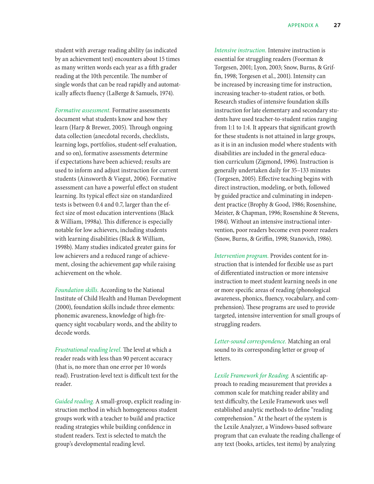student with average reading ability (as indicated by an achievement test) encounters about 15 times as many written words each year as a fifth grader reading at the 10th percentile. The number of single words that can be read rapidly and automatically affects fluency (LaBerge & Samuels, 1974).

*Formative assessment.* Formative assessments document what students know and how they learn (Harp & Brewer, 2005). Through ongoing data collection (anecdotal records, checklists, learning logs, portfolios, student-self evaluation, and so on), formative assessments determine if expectations have been achieved; results are used to inform and adjust instruction for current students (Ainsworth & Viegut, 2006). Formative assessment can have a powerful effect on student learning. Its typical effect size on standardized tests is between 0.4 and 0.7, larger than the effect size of most education interventions (Black & William, 1998a). This difference is especially notable for low achievers, including students with learning disabilities (Black & William, 1998b). Many studies indicated greater gains for low achievers and a reduced range of achievement, closing the achievement gap while raising achievement on the whole.

*Foundation skills.* According to the National Institute of Child Health and Human Development (2000), foundation skills include three elements: phonemic awareness, knowledge of high-frequency sight vocabulary words, and the ability to decode words.

*Frustrational reading level.* The level at which a reader reads with less than 90 percent accuracy (that is, no more than one error per 10 words read). Frustration-level text is difficult text for the reader.

*Guided reading.* A small-group, explicit reading instruction method in which homogeneous student groups work with a teacher to build and practice reading strategies while building confidence in student readers. Text is selected to match the group's developmental reading level.

*Intensive instruction.* Intensive instruction is essential for struggling readers (Foorman & Torgesen, 2001; Lyon, 2003; Snow, Burns, & Griffin, 1998; Torgesen et al., 2001). Intensity can be increased by increasing time for instruction, increasing teacher-to-student ratios, or both. Research studies of intensive foundation skills instruction for late elementary and secondary students have used teacher-to-student ratios ranging from 1:1 to 1:4. It appears that significant growth for these students is not attained in large groups, as it is in an inclusion model where students with disabilities are included in the general education curriculum (Zigmond, 1996). Instruction is generally undertaken daily for 35–133 minutes (Torgesen, 2005). Effective teaching begins with direct instruction, modeling, or both, followed by guided practice and culminating in independent practice (Brophy & Good, 1986; Rosenshine, Meister, & Chapman, 1996; Rosenshine & Stevens, 1984). Without an intensive instructional intervention, poor readers become even poorer readers (Snow, Burns, & Griffin, 1998; Stanovich, 1986).

*Intervention program.* Provides content for instruction that is intended for flexible use as part of differentiated instruction or more intensive instruction to meet student learning needs in one or more specific areas of reading (phonological awareness, phonics, fluency, vocabulary, and comprehension). These programs are used to provide targeted, intensive intervention for small groups of struggling readers.

*Letter-sound correspondence.* Matching an oral sound to its corresponding letter or group of letters.

*Lexile Framework for Reading.* A scientific approach to reading measurement that provides a common scale for matching reader ability and text difficulty, the Lexile Framework uses well established analytic methods to define "reading comprehension." At the heart of the system is the Lexile Analyzer, a Windows-based software program that can evaluate the reading challenge of any text (books, articles, test items) by analyzing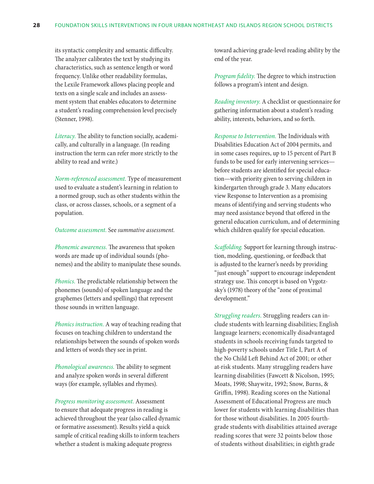its syntactic complexity and semantic difficulty. The analyzer calibrates the text by studying its characteristics, such as sentence length or word frequency. Unlike other readability formulas, the Lexile Framework allows placing people and texts on a single scale and includes an assessment system that enables educators to determine a student's reading comprehension level precisely (Stenner, 1998).

*Literacy.* The ability to function socially, academically, and culturally in a language. (In reading instruction the term can refer more strictly to the ability to read and write.)

*Norm-referenced assessment.* Type of measurement used to evaluate a student's learning in relation to a normed group, such as other students within the class, or across classes, schools, or a segment of a population.

#### *Outcome assessment.* See *summative assessment.*

*Phonemic awareness.* The awareness that spoken words are made up of individual sounds (phonemes) and the ability to manipulate these sounds.

*Phonics.* The predictable relationship between the phonemes (sounds) of spoken language and the graphemes (letters and spellings) that represent those sounds in written language.

*Phonics instruction.* A way of teaching reading that focuses on teaching children to understand the relationships between the sounds of spoken words and letters of words they see in print.

*Phonological awareness.* The ability to segment and analyze spoken words in several different ways (for example, syllables and rhymes).

*Progress monitoring assessment.* Assessment to ensure that adequate progress in reading is achieved throughout the year (also called dynamic or formative assessment). Results yield a quick sample of critical reading skills to inform teachers whether a student is making adequate progress

toward achieving grade-level reading ability by the end of the year.

*Program fidelity.* The degree to which instruction follows a program's intent and design.

*Reading inventory.* A checklist or questionnaire for gathering information about a student's reading ability, interests, behaviors, and so forth.

*Response to Intervention.* The Individuals with Disabilities Education Act of 2004 permits, and in some cases requires, up to 15 percent of Part B funds to be used for early intervening services before students are identified for special education—with priority given to serving children in kindergarten through grade 3. Many educators view Response to Intervention as a promising means of identifying and serving students who may need assistance beyond that offered in the general education curriculum, and of determining which children qualify for special education.

*Scaffolding.* Support for learning through instruction, modeling, questioning, or feedback that is adjusted to the learner's needs by providing "just enough" support to encourage independent strategy use. This concept is based on Vygotzsky's (1978) theory of the "zone of proximal development."

*Struggling readers.* Struggling readers can include students with learning disabilities; English language learners; economically disadvantaged students in schools receiving funds targeted to high-poverty schools under Title I, Part A of the No Child Left Behind Act of 2001; or other at-risk students. Many struggling readers have learning disabilities (Fawcett & Nicolson, 1995; Moats, 1998; Shaywitz, 1992; Snow, Burns, & Griffin, 1998). Reading scores on the National Assessment of Educational Progress are much lower for students with learning disabilities than for those without disabilities. In 2005 fourthgrade students with disabilities attained average reading scores that were 32 points below those of students without disabilities; in eighth grade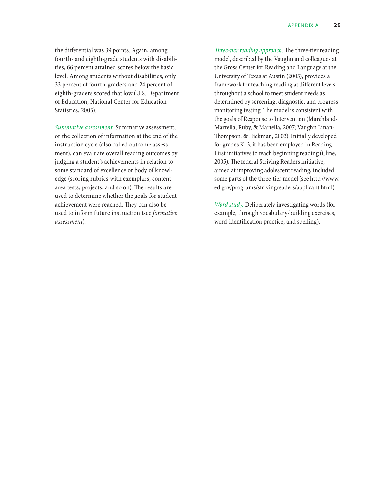the differential was 39 points. Again, among fourth- and eighth-grade students with disabilities, 66 percent attained scores below the basic level. Among students without disabilities, only 33 percent of fourth-graders and 24 percent of eighth-graders scored that low (U.S. Department of Education, National Center for Education Statistics, 2005).

*Summative assessment.* Summative assessment, or the collection of information at the end of the instruction cycle (also called outcome assessment), can evaluate overall reading outcomes by judging a student's achievements in relation to some standard of excellence or body of knowledge (scoring rubrics with exemplars, content area tests, projects, and so on). The results are used to determine whether the goals for student achievement were reached. They can also be used to inform future instruction (see *formative assessment*).

*Three-tier reading approach.* The three-tier reading model, described by the Vaughn and colleagues at the Gross Center for Reading and Language at the University of Texas at Austin (2005), provides a framework for teaching reading at different levels throughout a school to meet student needs as determined by screening, diagnostic, and progressmonitoring testing. The model is consistent with the goals of Response to Intervention (Marchland-Martella, Ruby, & Martella, 2007; Vaughn Linan-Thompson, & Hickman, 2003). Initially developed for grades K–3, it has been employed in Reading First initiatives to teach beginning reading (Cline, 2005). The federal Striving Readers initiative, aimed at improving adolescent reading, included some parts of the three-tier model (see http://www. ed.gov/programs/strivingreaders/applicant.html).

*Word study.* Deliberately investigating words (for example, through vocabulary-building exercises, word-identification practice, and spelling).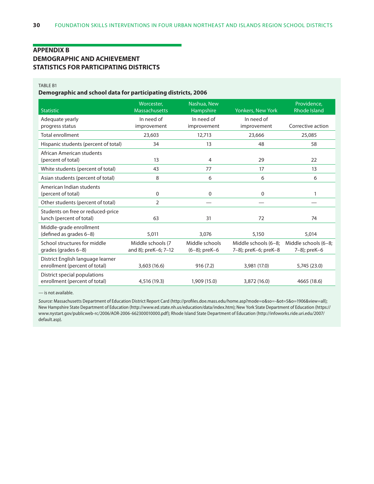#### <span id="page-36-0"></span>**Appendix B Demographic and achievement statistics for participating districts**

#### Table B1

#### **Demographic and school data for participating districts, 2006**

| <b>Statistic</b>                                                   | Worcester,<br><b>Massachusetts</b>        | Nashua, New<br>Hampshire           | <b>Yonkers, New York</b>                     | Providence,<br><b>Rhode Island</b>   |
|--------------------------------------------------------------------|-------------------------------------------|------------------------------------|----------------------------------------------|--------------------------------------|
| Adequate yearly                                                    | In need of                                | In need of                         | In need of                                   |                                      |
| progress status                                                    | improvement                               | improvement                        | improvement                                  | Corrective action                    |
| <b>Total enrollment</b>                                            | 23,603                                    | 12,713                             | 23.666                                       | 25,085                               |
| Hispanic students (percent of total)                               | 34                                        | 13                                 | 48                                           | 58                                   |
| African American students<br>(percent of total)                    | 13                                        | 4                                  | 29                                           | 22                                   |
| White students (percent of total)                                  | 43                                        | 77                                 | 17                                           | 13                                   |
| Asian students (percent of total)                                  | 8                                         | 6                                  | 6                                            | 6                                    |
| American Indian students<br>(percent of total)                     | 0                                         | 0                                  | 0                                            | 1                                    |
| Other students (percent of total)                                  | 2                                         |                                    |                                              |                                      |
| Students on free or reduced-price<br>lunch (percent of total)      | 63                                        | 31                                 | 72                                           | 74                                   |
| Middle-grade enrollment<br>(defined as grades 6-8)                 | 5,011                                     | 3,076                              | 5,150                                        | 5,014                                |
| School structures for middle<br>grades (grades 6–8)                | Middle schools (7<br>and 8); preK-6; 7-12 | Middle schools<br>$(6-8)$ ; preK-6 | Middle schools (6-8;<br>7-8); preK-6; preK-8 | Middle schools (6-8;<br>7-8); preK-6 |
| District English language learner<br>enrollment (percent of total) | 3,603(16.6)                               | 916(7.2)                           | 3,981 (17.0)                                 | 5,745 (23.0)                         |
| District special populations<br>enrollment (percent of total)      | 4,516 (19.3)                              | 1,909 (15.0)                       | 3,872 (16.0)                                 | 4665 (18.6)                          |

— is not available.

*Source:* Massachusetts Department of Education District Report Card (http://profiles.doe.mass.edu/home.asp?mode=o&so=-&ot=5&o=1906&view=all); New Hampshire State Department of Education (http://www.ed.state.nh.us/education/data/index.htm); New York State Department of Education (https:// www.nystart.gov/publicweb-rc/2006/AOR-2006-662300010000.pdf); Rhode Island State Department of Education (http://infoworks.ride.uri.edu/2007/ default.asp).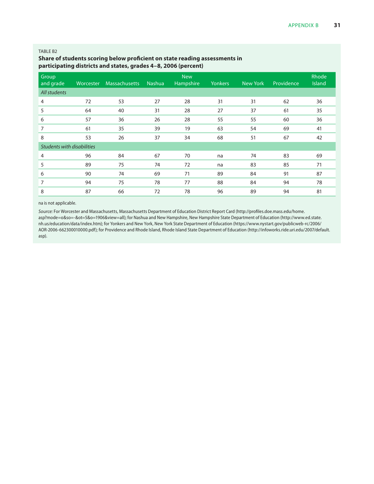#### <span id="page-37-0"></span>TABLE B2

#### **Share of students scoring below proficient on state reading assessments in participating districts and states, grades 4–8, 2006 (percent)**

| Group<br>and grade                | Worcester | <b>Massachusetts</b> | <b>Nashua</b> | <b>New</b><br>Hampshire | <b>Yonkers</b> | New York | Providence | Rhode<br><b>Island</b> |
|-----------------------------------|-----------|----------------------|---------------|-------------------------|----------------|----------|------------|------------------------|
| All students                      |           |                      |               |                         |                |          |            |                        |
| $\overline{4}$                    | 72        | 53                   | 27            | 28                      | 31             | 31       | 62         | 36                     |
| 5                                 | 64        | 40                   | 31            | 28                      | 27             | 37       | 61         | 35                     |
| 6                                 | 57        | 36                   | 26            | 28                      | 55             | 55       | 60         | 36                     |
| 7                                 | 61        | 35                   | 39            | 19                      | 63             | 54       | 69         | 41                     |
| 8                                 | 53        | 26                   | 37            | 34                      | 68             | 51       | 67         | 42                     |
| <b>Students with disabilities</b> |           |                      |               |                         |                |          |            |                        |
| 4                                 | 96        | 84                   | 67            | 70                      | na             | 74       | 83         | 69                     |
| 5                                 | 89        | 75                   | 74            | 72                      | na             | 83       | 85         | 71                     |
| 6                                 | 90        | 74                   | 69            | 71                      | 89             | 84       | 91         | 87                     |
| 7                                 | 94        | 75                   | 78            | 77                      | 88             | 84       | 94         | 78                     |
| 8                                 | 87        | 66                   | 72            | 78                      | 96             | 89       | 94         | 81                     |

na is not applicable.

*Source:* For Worcester and Massachusetts, Massachusetts Department of Education District Report Card (http://profiles.doe.mass.edu/home. asp?mode=o&so=-&ot=5&o=1906&view=all); for Nashua and New Hampshire, New Hampshire State Department of Education (http://www.ed.state. nh.us/education/data/index.htm); for Yonkers and New York, New York State Department of Education (https://www.nystart.gov/publicweb-rc/2006/ AOR-2006-662300010000.pdf); for Providence and Rhode Island, Rhode Island State Department of Education (http://infoworks.ride.uri.edu/2007/default. asp).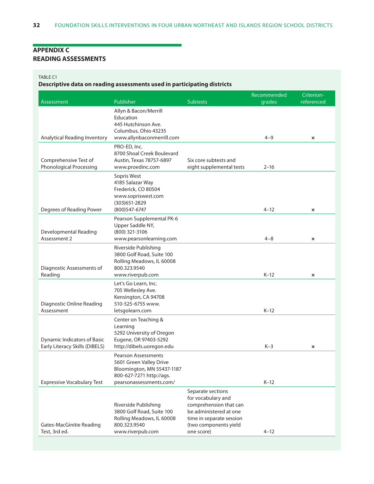#### <span id="page-38-0"></span>**Appendix C Reading assessments**

#### Table C1

**Descriptive data on reading assessments used in participating districts**

|                                                                      |                                                                                                                                            |                                                                                                                                                                | Recommended | Criterion-                |
|----------------------------------------------------------------------|--------------------------------------------------------------------------------------------------------------------------------------------|----------------------------------------------------------------------------------------------------------------------------------------------------------------|-------------|---------------------------|
| Assessment                                                           | Publisher                                                                                                                                  | Subtests                                                                                                                                                       | grades      | referenced                |
|                                                                      | Allyn & Bacon/Merrill<br>Education<br>445 Hutchinson Ave.<br>Columbus, Ohio 43235                                                          |                                                                                                                                                                |             |                           |
| Analytical Reading Inventory                                         | www.allynbaconmerrill.com                                                                                                                  |                                                                                                                                                                | $4 - 9$     | $\mathsf{x}$              |
| Comprehensive Test of<br><b>Phonological Processing</b>              | PRO-ED, Inc.<br>8700 Shoal Creek Boulevard<br>Austin, Texas 78757-6897<br>www.proedinc.com                                                 | Six core subtests and<br>eight supplemental tests                                                                                                              | $2 - 16$    |                           |
|                                                                      | Sopris West<br>4185 Salazar Way<br>Frederick, CO 80504<br>www.sopriswest.com<br>(303) 651-2829                                             |                                                                                                                                                                |             |                           |
| Degrees of Reading Power                                             | (800) 547-6747                                                                                                                             |                                                                                                                                                                | $4 - 12$    | $\boldsymbol{\mathsf{x}}$ |
| Developmental Reading<br>Assessment 2                                | Pearson Supplemental PK-6<br>Upper Saddle NY,<br>(800) 321-3106<br>www.pearsonlearning.com                                                 |                                                                                                                                                                | $4 - 8$     | $\boldsymbol{\mathsf{x}}$ |
| Diagnostic Assessments of<br>Reading                                 | Riverside Publishing<br>3800 Golf Road, Suite 100<br>Rolling Meadows, IL 60008<br>800.323.9540<br>www.riverpub.com                         |                                                                                                                                                                | $K-12$      | $\mathsf{x}$              |
| Diagnostic Online Reading<br>Assessment                              | Let's Go Learn, Inc.<br>705 Wellesley Ave.<br>Kensington, CA 94708<br>510-525-6755 www.<br>letsgolearn.com                                 |                                                                                                                                                                | $K-12$      |                           |
| <b>Dynamic Indicators of Basic</b><br>Early Literacy Skills (DIBELS) | Center on Teaching &<br>Learning<br>5292 University of Oregon<br>Eugene, OR 97403-5292<br>http://dibels.uoregon.edu                        |                                                                                                                                                                | $K-3$       | $\pmb{\times}$            |
| <b>Expressive Vocabulary Test</b>                                    | <b>Pearson Assessments</b><br>5601 Green Valley Drive<br>Bloomington, MN 55437-1187<br>800-627-7271 http://ags.<br>pearsonassessments.com/ |                                                                                                                                                                | $K-12$      |                           |
| Gates-MacGinitie Reading<br>Test, 3rd ed.                            | Riverside Publishing<br>3800 Golf Road, Suite 100<br>Rolling Meadows, IL 60008<br>800.323.9540<br>www.riverpub.com                         | Separate sections<br>for vocabulary and<br>comprehension that can<br>be administered at one<br>time in separate session<br>(two components yield<br>one score) | $4 - 12$    |                           |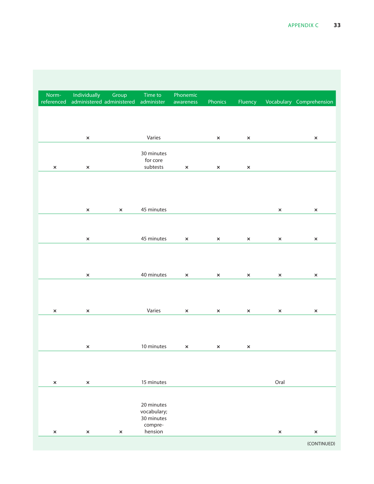|      | Fluency Vocabulary Comprehension | Phonics      | Phonemic                              | Time to                                 | Group                 | Individually<br>referenced administered administered administer awareness | Norm-        |
|------|----------------------------------|--------------|---------------------------------------|-----------------------------------------|-----------------------|---------------------------------------------------------------------------|--------------|
|      |                                  |              |                                       |                                         |                       |                                                                           |              |
|      | $\mathbf{x}$                     | $\mathsf{X}$ |                                       | Varies                                  |                       | $\mathbf{x}$                                                              |              |
|      |                                  |              |                                       | 30 minutes<br>for core                  |                       |                                                                           |              |
|      | $\propto$                        | $\mathsf{X}$ | $\mathsf{X}$                          | subtests                                |                       | $\mathsf{x}$                                                              | $\mathbf{x}$ |
|      |                                  |              |                                       |                                         |                       |                                                                           |              |
|      |                                  |              |                                       | 45 minutes                              | $\boldsymbol{\times}$ | $\mathsf{x}$                                                              |              |
|      |                                  |              |                                       |                                         |                       |                                                                           |              |
|      | $\mathsf{X}$                     | $\mathsf{X}$ | $\mathsf{X}$                          | 45 minutes                              |                       | $\mathbf{x}$                                                              |              |
|      |                                  |              |                                       |                                         |                       |                                                                           |              |
|      | $\mathbf{x}$                     | $\mathsf{x}$ | $\mathsf{x}$                          | 40 minutes                              |                       | $\boldsymbol{\times}$                                                     |              |
|      |                                  |              |                                       |                                         |                       |                                                                           |              |
|      | $\mathsf{X}$                     | $\mathsf{x}$ | $\mathsf{x}$                          | Varies                                  |                       | $\boldsymbol{\times}$                                                     | $\mathbf{x}$ |
|      |                                  |              |                                       |                                         |                       |                                                                           |              |
|      |                                  |              | 10 minutes $\times$ $\times$ $\times$ |                                         |                       | $\mathbf{x}$ .                                                            |              |
|      |                                  |              |                                       |                                         |                       |                                                                           |              |
| Oral |                                  |              |                                       | 15 minutes                              |                       | $\pmb{\times}$                                                            | $\mathsf{x}$ |
|      |                                  |              |                                       |                                         |                       |                                                                           |              |
|      |                                  |              |                                       | 20 minutes<br>vocabulary;<br>30 minutes |                       |                                                                           |              |
|      |                                  |              |                                       | compre-<br>hension                      | $\propto$             | $\pmb{\times}$                                                            | $\mathbf{x}$ |
|      |                                  |              |                                       |                                         |                       |                                                                           |              |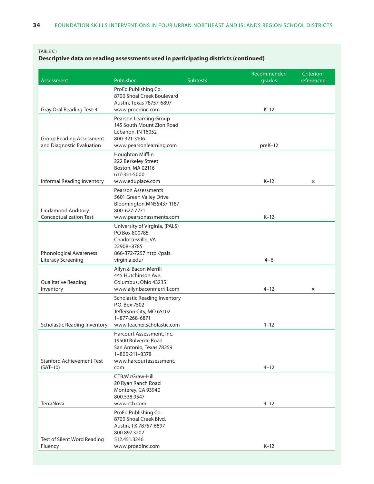#### Table C1

#### **Descriptive data on reading assessments used in participating districts (continued)**

|                                                              |                                                                                                                                  |          | Recommended | Criterion-                |
|--------------------------------------------------------------|----------------------------------------------------------------------------------------------------------------------------------|----------|-------------|---------------------------|
| Assessment                                                   | Publisher                                                                                                                        | Subtests | grades      | referenced                |
| <b>Gray Oral Reading Test-4</b>                              | ProEd Publishing Co.<br>8700 Shoal Creek Boulevard<br>Austin, Texas 78757-6897<br>www.proedinc.com                               |          | $K-12$      |                           |
|                                                              |                                                                                                                                  |          |             |                           |
| <b>Group Reading Assessment</b><br>and Diagnostic Evaluation | Pearson Learning Group<br>145 South Mount Zion Road<br>Lebanon, IN 16052<br>800-321-3106<br>www.pearsonlearning.com              |          | preK-12     |                           |
|                                                              | Houghton Mifflin                                                                                                                 |          |             |                           |
| Informal Reading Inventory                                   | 222 Berkeley Street<br>Boston, MA 02116<br>617-351-5000<br>www.eduplace.com                                                      |          | $K-12$      |                           |
|                                                              |                                                                                                                                  |          |             | $\boldsymbol{\mathsf{x}}$ |
| Lindamood Auditory                                           | <b>Pearson Assessments</b><br>5601 Green Valley Drive<br>Bloomington, MN55437-1187<br>800-627-7271                               |          |             |                           |
| <b>Conceptualization Test</b>                                | www.pearsonassments.com                                                                                                          |          | $K-12$      |                           |
| Phonological Awareness                                       | University of Virginia, (PALS)<br>PO Box 800785<br>Charlottesville, VA<br>22908-8785<br>866-372-7257 http://pals.                |          |             |                           |
| <b>Literacy Screening</b>                                    | virginia.edu/                                                                                                                    |          | $4 - 6$     |                           |
| Qualitative Reading<br>Inventory                             | Allyn & Bacon Merrill<br>445 Hutchinson Ave.<br>Columbus, Ohio 43235<br>www.allynbaconmerrill.com                                |          | $4 - 12$    | $\boldsymbol{\mathsf{x}}$ |
| <b>Scholastic Reading Inventory</b>                          | <b>Scholastic Reading Inventory</b><br>P.O. Box 7502<br>Jefferson City, MO 65102<br>1-877-268-6871<br>www.teacher.scholastic.com |          | $1 - 12$    |                           |
| <b>Stanford Achievement Test</b>                             | Harcourt Assessment, Inc.<br>19500 Bulverde Road<br>San Antonio, Texas 78259<br>1-800-211-8378<br>www.harcourtassessment.        |          |             |                           |
| $(SAT-10)$                                                   | com                                                                                                                              |          | $4 - 12$    |                           |
|                                                              | CTB/McGraw-Hill<br>20 Ryan Ranch Road<br>Monterey, CA 93940<br>800.538.9547                                                      |          |             |                           |
| TerraNova                                                    | www.ctb.com                                                                                                                      |          | $4 - 12$    |                           |
|                                                              | ProEd Publishing Co.<br>8700 Shoal Creek Blvd.<br>Austin, TX 78757-6897<br>800.897.3202<br>512.451.3246                          |          |             |                           |
| Test of Silent Word Reading<br>Fluency                       | www.proedinc.com                                                                                                                 |          | $K-12$      |                           |
|                                                              |                                                                                                                                  |          |             |                           |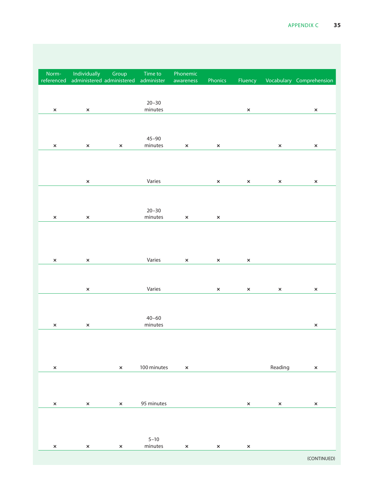|                       | Fluency Vocabulary Comprehension |                       | Phonics                       | Phonemic     | Time to                     | Group        | Norm- Individually<br>referenced administered administered administer awareness |              |
|-----------------------|----------------------------------|-----------------------|-------------------------------|--------------|-----------------------------|--------------|---------------------------------------------------------------------------------|--------------|
| $\boldsymbol{\times}$ |                                  | $\mathsf{x}$          |                               |              | $20 - 30$<br>minutes        |              | $\mathsf{x}$                                                                    | $\mathbf{x}$ |
|                       |                                  |                       |                               |              |                             |              |                                                                                 |              |
| $\mathsf{x}$          | $\mathsf{x}$                     |                       | $\mathbf{x}$                  | $\mathbf{x}$ | $45 - 90$<br>minutes        | $\mathsf{X}$ | $\mathbf{x}$                                                                    | $\mathbf{x}$ |
|                       |                                  |                       |                               |              |                             |              |                                                                                 |              |
| $\boldsymbol{\times}$ | $\mathsf{x}$                     | $\mathsf{x}$          | $\mathbf{x}$ and $\mathbf{x}$ |              | Varies                      |              | $\mathbf{x}$                                                                    |              |
|                       |                                  |                       |                               |              |                             |              |                                                                                 |              |
|                       |                                  |                       | $\mathbf{x}$                  | $\mathsf{X}$ | $20 - 30$<br>minutes        |              | $\mathbf{x}$                                                                    | $\mathsf{x}$ |
|                       |                                  |                       |                               |              |                             |              |                                                                                 |              |
|                       |                                  |                       |                               |              |                             |              |                                                                                 |              |
|                       |                                  | $\boldsymbol{\times}$ | $\mathsf{x}$                  | $\mathsf{x}$ | Varies                      |              | $\mathbf{x}$                                                                    | $\mathsf{x}$ |
| $\boldsymbol{\times}$ | $\mathsf{x}$                     | $\mathbf{x}$          | $\mathsf{x}$                  |              | Varies                      |              | $\boldsymbol{\times}$                                                           |              |
|                       |                                  |                       |                               |              |                             |              |                                                                                 |              |
| $\boldsymbol{\times}$ |                                  |                       |                               |              | $40 - 60$<br>minutes        |              | $\mathbf{x}$                                                                    | $\mathbf{x}$ |
|                       |                                  |                       |                               |              |                             |              |                                                                                 |              |
| $\mathsf{x}$          | Reading                          |                       |                               | $\mathsf{x}$ | 100 minutes                 | $\mathbf{x}$ |                                                                                 | $\mathsf{x}$ |
|                       |                                  |                       |                               |              |                             |              |                                                                                 |              |
| $\mathsf{x}$          | $\mathsf{x}$                     | $\mathsf{x}$          |                               |              | 95 minutes                  | $\mathbf{x}$ | $\mathbf{x}$                                                                    | $\mathbf{x}$ |
|                       |                                  |                       |                               |              |                             |              |                                                                                 |              |
|                       |                                  |                       |                               |              | $5 - 10$                    |              |                                                                                 |              |
| (CONTINUED)           |                                  | $\boldsymbol{\times}$ | $\mathbf{x}$                  | $\mathsf{x}$ | $\mathop{\mathsf{minutes}}$ | $\mathbf{x}$ | $\mathbf{x}$                                                                    | $\mathsf{x}$ |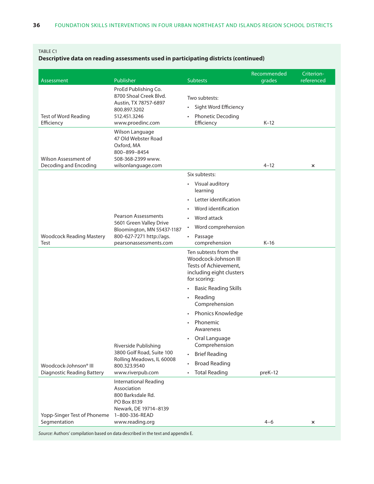#### Table C1

#### **Descriptive data on reading assessments used in participating districts (continued)**

|                                                            |                                                                                                                 |                                                                                                                    | Recommended | Criterion-     |
|------------------------------------------------------------|-----------------------------------------------------------------------------------------------------------------|--------------------------------------------------------------------------------------------------------------------|-------------|----------------|
| Assessment                                                 | Publisher                                                                                                       | <b>Subtests</b>                                                                                                    | grades      | referenced     |
|                                                            | ProEd Publishing Co.<br>8700 Shoal Creek Blvd.<br>Austin, TX 78757-6897<br>800.897.3202                         | Two subtests:<br>· Sight Word Efficiency                                                                           |             |                |
| Test of Word Reading<br>Efficiency                         | 512.451.3246<br>www.proedinc.com                                                                                | • Phonetic Decoding<br>Efficiency                                                                                  | $K-12$      |                |
| Wilson Assessment of<br>Decoding and Encoding              | Wilson Language<br>47 Old Webster Road<br>Oxford, MA<br>800-899-8454<br>508-368-2399 www.<br>wilsonlanguage.com |                                                                                                                    | $4 - 12$    | $\pmb{\times}$ |
|                                                            |                                                                                                                 | Six subtests:                                                                                                      |             |                |
|                                                            | <b>Pearson Assessments</b>                                                                                      | • Visual auditory<br>learning<br>• Letter identification<br>• Word identification<br>• Word attack                 |             |                |
|                                                            | 5601 Green Valley Drive                                                                                         | • Word comprehension                                                                                               |             |                |
| <b>Woodcock Reading Mastery</b><br>Test                    | Bloomington, MN 55437-1187<br>800-627-7271 http://ags.<br>pearsonassessments.com                                | • Passage<br>comprehension                                                                                         | $K-16$      |                |
|                                                            |                                                                                                                 | Ten subtests from the<br>Woodcock-Johnson III<br>Tests of Achievement,<br>including eight clusters<br>for scoring: |             |                |
|                                                            |                                                                                                                 | • Basic Reading Skills                                                                                             |             |                |
|                                                            |                                                                                                                 | • Reading<br>Comprehension<br>• Phonics Knowledge                                                                  |             |                |
|                                                            |                                                                                                                 | • Phonemic<br>Awareness                                                                                            |             |                |
|                                                            | Riverside Publishing<br>3800 Golf Road, Suite 100                                                               | • Oral Language<br>Comprehension<br>• Brief Reading                                                                |             |                |
|                                                            | Rolling Meadows, IL 60008                                                                                       | • Broad Reading                                                                                                    |             |                |
| Woodcock-Johnson® III<br><b>Diagnostic Reading Battery</b> | 800.323.9540<br>www.riverpub.com                                                                                | • Total Reading                                                                                                    | preK-12     |                |
|                                                            | <b>International Reading</b><br>Association<br>800 Barksdale Rd.<br>PO Box 8139<br>Newark, DE 19714-8139        |                                                                                                                    |             |                |
| Yopp-Singer Test of Phoneme 1-800-336-READ<br>Segmentation | www.reading.org                                                                                                 |                                                                                                                    | $4 - 6$     |                |
|                                                            |                                                                                                                 |                                                                                                                    |             | $\pmb{\times}$ |

*Source:* Authors' compilation based on data described in the text and appendix E.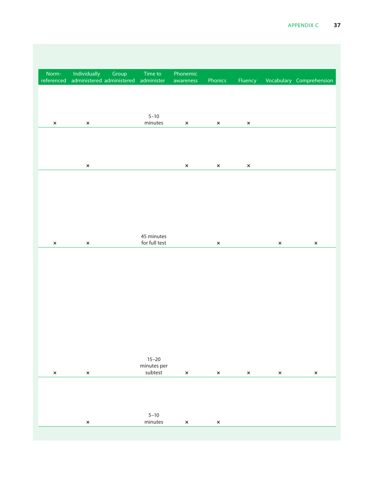|                       |                       | Norm- Individually Group Time to Phonemic<br>referenced administered administered administer awareness |                                         |                | Phonics                       |                   | Fluency Vocabulary Comprehension |  |
|-----------------------|-----------------------|--------------------------------------------------------------------------------------------------------|-----------------------------------------|----------------|-------------------------------|-------------------|----------------------------------|--|
|                       |                       |                                                                                                        |                                         |                |                               |                   |                                  |  |
| $\mathbf{x}$          | $\mathsf{x}$          |                                                                                                        | $5 - 10$<br>minutes                     | $\mathsf{x}$   | $\mathsf{x}$ and $\mathsf{y}$ | $\mathbf{x}$      |                                  |  |
|                       |                       |                                                                                                        |                                         |                |                               |                   |                                  |  |
|                       | $\mathsf{x}$          |                                                                                                        |                                         | $\mathbf{x}$   | $\mathbf{x}$                  | $\mathbf{x}$      |                                  |  |
|                       |                       |                                                                                                        |                                         |                |                               |                   |                                  |  |
|                       |                       |                                                                                                        |                                         |                |                               |                   |                                  |  |
|                       |                       |                                                                                                        |                                         |                |                               |                   |                                  |  |
| $\boldsymbol{\times}$ | $\propto$             |                                                                                                        | 45 minutes<br>for full test             |                | $\mathbf{x}$                  |                   | $\mathbf{x}$                     |  |
|                       |                       |                                                                                                        |                                         |                |                               |                   |                                  |  |
|                       |                       |                                                                                                        |                                         |                |                               |                   |                                  |  |
|                       |                       |                                                                                                        |                                         |                |                               |                   |                                  |  |
|                       |                       |                                                                                                        |                                         |                |                               |                   |                                  |  |
|                       |                       |                                                                                                        |                                         |                |                               |                   |                                  |  |
| $\mathsf{x}$          |                       |                                                                                                        | $15 - 20$<br>minutes per<br>subtest     |                |                               |                   |                                  |  |
|                       | $\boldsymbol{\times}$ |                                                                                                        |                                         | $\mathbf{x}$ . |                               | $\times$ $\times$ | $\mathbf{x}$                     |  |
|                       |                       |                                                                                                        |                                         |                |                               |                   |                                  |  |
|                       | $\boldsymbol{\times}$ |                                                                                                        | $5 - 10$<br>$\mathop{\mathsf{minutes}}$ | $\mathsf{x}$   | $\mathbf{x}$                  |                   |                                  |  |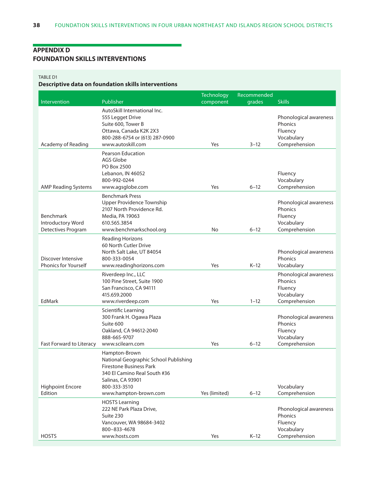#### <span id="page-44-0"></span>**Appendix D Foundation skills interventions**

#### Table D1

## **Descriptive data on foundation skills interventions**

|                                                      |                                                                                                                                                                                 | <b>Technology</b> | Recommended |                                                                             |
|------------------------------------------------------|---------------------------------------------------------------------------------------------------------------------------------------------------------------------------------|-------------------|-------------|-----------------------------------------------------------------------------|
| Intervention                                         | Publisher                                                                                                                                                                       | component         | grades      | <b>Skills</b>                                                               |
| Academy of Reading                                   | AutoSkill International Inc.<br>555 Legget Drive<br>Suite 600, Tower B<br>Ottawa, Canada K2K 2X3<br>800-288-6754 or (613) 287-0900<br>www.autoskill.com                         | Yes               | $3 - 12$    | Phonological awareness<br>Phonics<br>Fluency<br>Vocabulary<br>Comprehension |
| <b>AMP Reading Systems</b>                           | Pearson Education<br>AGS Globe<br>PO Box 2500<br>Lebanon, IN 46052<br>800-992-0244<br>www.agsglobe.com                                                                          | Yes               | $6 - 12$    | Fluency<br>Vocabulary<br>Comprehension                                      |
| Benchmark<br>Introductory Word<br>Detectives Program | <b>Benchmark Press</b><br>Upper Providence Township<br>2107 North Providence Rd.<br>Media, PA 19063<br>610.565.3854<br>www.benchmarkschool.org                                  | No                | $6 - 12$    | Phonological awareness<br>Phonics<br>Fluency<br>Vocabulary<br>Comprehension |
| Discover Intensive<br><b>Phonics for Yourself</b>    | <b>Reading Horizons</b><br>60 North Cutler Drive<br>North Salt Lake, UT 84054<br>800-333-0054<br>www.readinghorizons.com                                                        | Yes               | $K-12$      | Phonological awareness<br>Phonics<br>Vocabulary                             |
| EdMark                                               | Riverdeep Inc., LLC<br>100 Pine Street, Suite 1900<br>San Francisco, CA 94111<br>415.659.2000<br>www.riverdeep.com                                                              | Yes               | $1 - 12$    | Phonological awareness<br>Phonics<br>Fluency<br>Vocabulary<br>Comprehension |
| Fast Forward to Literacy                             | Scientific Learning<br>300 Frank H. Ogawa Plaza<br>Suite 600<br>Oakland, CA 94612-2040<br>888-665-9707<br>www.scilearn.com                                                      | Yes               | $6 - 12$    | Phonological awareness<br>Phonics<br>Fluency<br>Vocabulary<br>Comprehension |
| <b>Highpoint Encore</b><br>Edition                   | Hampton-Brown<br>National Geographic School Publishing<br>Firestone Business Park<br>340 El Camino Real South #36<br>Salinas, CA 93901<br>800-333-3510<br>www.hampton-brown.com | Yes (limited)     | $6 - 12$    | Vocabulary<br>Comprehension                                                 |
| <b>HOSTS</b>                                         | <b>HOSTS Learning</b><br>222 NE Park Plaza Drive,<br>Suite 230<br>Vancouver, WA 98684-3402<br>800-833-4678<br>www.hosts.com                                                     | Yes               | $K-12$      | Phonological awareness<br>Phonics<br>Fluency<br>Vocabulary<br>Comprehension |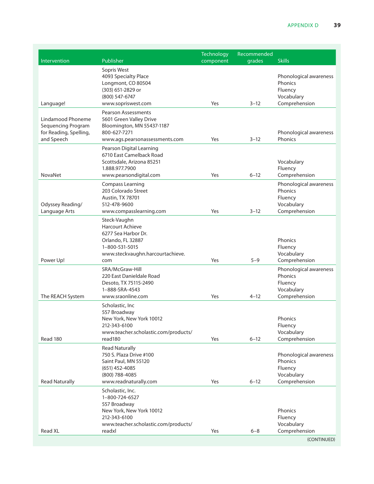| Intervention                                                                    | Publisher                                                                                                                                        | <b>Technology</b><br>component | Recommended<br>grades | <b>Skills</b>                                                               |
|---------------------------------------------------------------------------------|--------------------------------------------------------------------------------------------------------------------------------------------------|--------------------------------|-----------------------|-----------------------------------------------------------------------------|
| Language!                                                                       | Sopris West<br>4093 Specialty Place<br>Longmont, CO 80504<br>(303) 651-2829 or<br>(800) 547-6747<br>www.sopriswest.com                           | Yes                            | $3 - 12$              | Phonological awareness<br>Phonics<br>Fluency<br>Vocabulary<br>Comprehension |
|                                                                                 | <b>Pearson Assessments</b>                                                                                                                       |                                |                       |                                                                             |
| Lindamood Phoneme<br>Sequencing Program<br>for Reading, Spelling,<br>and Speech | 5601 Green Valley Drive<br>Bloomington, MN 55437-1187<br>800-627-7271<br>www.ags.pearsonassessments.com                                          | Yes                            | $3 - 12$              | Phonological awareness<br>Phonics                                           |
|                                                                                 | Pearson Digital Learning<br>6710 East Camelback Road<br>Scottsdale, Arizona 85251<br>1.888.977.7900                                              |                                |                       | Vocabulary<br>Fluency                                                       |
| NovaNet                                                                         | www.pearsondigital.com                                                                                                                           | Yes                            | $6 - 12$              | Comprehension<br>Phonological awareness                                     |
| Odyssey Reading/<br>Language Arts                                               | <b>Compass Learning</b><br>203 Colorado Street<br><b>Austin, TX 78701</b><br>512-478-9600<br>www.compasslearning.com                             | Yes                            | $3 - 12$              | Phonics<br>Fluency<br>Vocabulary<br>Comprehension                           |
| Power Up!                                                                       | Steck-Vaughn<br><b>Harcourt Achieve</b><br>6277 Sea Harbor Dr.<br>Orlando, FL 32887<br>1-800-531-5015<br>www.steckvaughn.harcourtachieve.<br>com | Yes                            | $5 - 9$               | Phonics<br>Fluency<br>Vocabulary<br>Comprehension                           |
| The REACH System                                                                | SRA/McGraw-Hill<br>220 East Danieldale Road<br>Desoto, TX 75115-2490<br>1-888-SRA-4543<br>www.sraonline.com                                      | Yes                            | $4 - 12$              | Phonological awareness<br>Phonics<br>Fluency<br>Vocabulary<br>Comprehension |
| Read 180                                                                        | Scholastic, Inc<br>557 Broadway<br>New York, New York 10012<br>212-343-6100<br>www.teacher.scholastic.com/products/<br>read180                   | Yes                            | $6 - 12$              | Phonics<br>Fluency<br>Vocabulary<br>Comprehension                           |
| <b>Read Naturally</b>                                                           | <b>Read Naturally</b><br>750 S. Plaza Drive #100<br>Saint Paul, MN 55120<br>$(651)$ 452-4085<br>(800) 788-4085<br>www.readnaturally.com          | Yes                            | $6 - 12$              | Phonological awareness<br>Phonics<br>Fluency<br>Vocabulary<br>Comprehension |
| Read XL                                                                         | Scholastic, Inc.<br>1-800-724-6527<br>557 Broadway<br>New York, New York 10012<br>212-343-6100<br>www.teacher.scholastic.com/products/<br>readxl | Yes                            | $6 - 8$               | Phonics<br>Fluency<br>Vocabulary<br>Comprehension                           |
|                                                                                 |                                                                                                                                                  |                                |                       | (CONTINUED)                                                                 |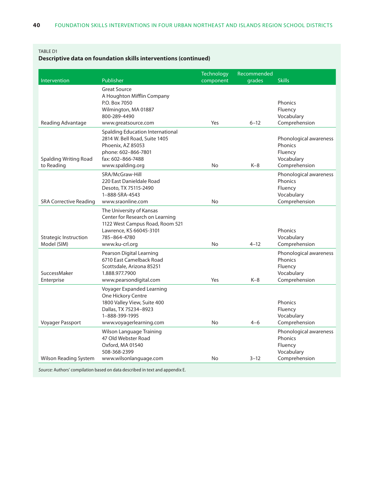#### Table D1

### **Descriptive data on foundation skills interventions (continued)**

| Intervention                  | Publisher                                                   | <b>Technology</b><br>component | Recommended<br>grades | <b>Skills</b>                     |
|-------------------------------|-------------------------------------------------------------|--------------------------------|-----------------------|-----------------------------------|
|                               |                                                             |                                |                       |                                   |
|                               | <b>Great Source</b><br>A Houghton Mifflin Company           |                                |                       |                                   |
|                               | P.O. Box 7050                                               |                                |                       | Phonics                           |
|                               | Wilmington, MA 01887                                        |                                |                       | Fluency                           |
|                               | 800-289-4490                                                |                                |                       | Vocabulary                        |
| Reading Advantage             | www.greatsource.com                                         | Yes                            | $6 - 12$              | Comprehension                     |
|                               | Spalding Education International                            |                                |                       |                                   |
|                               | 2814 W. Bell Road, Suite 1405                               |                                |                       | Phonological awareness            |
|                               | Phoenix, AZ 85053                                           |                                |                       | Phonics                           |
|                               | phone: 602-866-7801                                         |                                |                       | Fluency                           |
| <b>Spalding Writing Road</b>  | fax: 602-866-7488                                           |                                |                       | Vocabulary                        |
| to Reading                    | www.spalding.org                                            | No                             | $K-8$                 | Comprehension                     |
|                               | SRA/McGraw-Hill                                             |                                |                       | Phonological awareness            |
|                               | 220 East Danieldale Road                                    |                                |                       | Phonics                           |
|                               | Desoto, TX 75115-2490<br>1-888-SRA-4543                     |                                |                       | Fluency                           |
| <b>SRA Corrective Reading</b> | www.sraonline.com                                           | No                             |                       | Vocabulary<br>Comprehension       |
|                               |                                                             |                                |                       |                                   |
|                               | The University of Kansas<br>Center for Research on Learning |                                |                       |                                   |
|                               | 1122 West Campus Road, Room 521                             |                                |                       |                                   |
|                               | Lawrence, KS 66045-3101                                     |                                |                       | Phonics                           |
| <b>Strategic Instruction</b>  | 785-864-4780                                                |                                |                       | Vocabulary                        |
| Model (SIM)                   | www.ku-crl.org                                              | No                             | $4 - 12$              | Comprehension                     |
|                               | Pearson Digital Learning                                    |                                |                       | Phonological awareness            |
|                               | 6710 East Camelback Road                                    |                                |                       | Phonics                           |
|                               | Scottsdale, Arizona 85251                                   |                                |                       | Fluency                           |
| SuccessMaker                  | 1.888.977.7900                                              |                                |                       | Vocabulary                        |
| Enterprise                    | www.pearsondigital.com                                      | Yes                            | $K-8$                 | Comprehension                     |
|                               | Voyager Expanded Learning                                   |                                |                       |                                   |
|                               | One Hickory Centre                                          |                                |                       |                                   |
|                               | 1800 Valley View, Suite 400                                 |                                |                       | Phonics                           |
|                               | Dallas, TX 75234-8923<br>1-888-399-1995                     |                                |                       | Fluency                           |
| Voyager Passport              | www.voyagerlearning.com                                     | No.                            | $4 - 6$               | Vocabulary<br>Comprehension       |
|                               |                                                             |                                |                       |                                   |
|                               | Wilson Language Training<br>47 Old Webster Road             |                                |                       | Phonological awareness<br>Phonics |
|                               | Oxford, MA 01540                                            |                                |                       | Fluency                           |
|                               | 508-368-2399                                                |                                |                       | Vocabulary                        |
| Wilson Reading System         | www.wilsonlanguage.com                                      | No                             | $3 - 12$              | Comprehension                     |
|                               |                                                             |                                |                       |                                   |

*Source:* Authors' compilation based on data described in text and appendix E.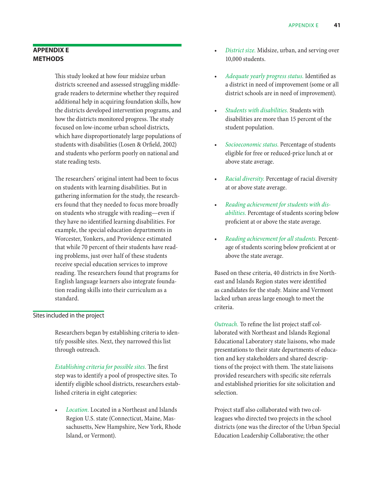#### <span id="page-47-0"></span>**Appendix E Methods**

This study looked at how four midsize urban districts screened and assessed struggling middlegrade readers to determine whether they required additional help in acquiring foundation skills, how the districts developed intervention programs, and how the districts monitored progress. The study focused on low-income urban school districts, which have disproportionately large populations of students with disabilities (Losen & Orfield, 2002) and students who perform poorly on national and state reading tests.

The researchers' original intent had been to focus on students with learning disabilities. But in gathering information for the study, the researchers found that they needed to focus more broadly on students who struggle with reading—even if they have no identified learning disabilities. For example, the special education departments in Worcester, Yonkers, and Providence estimated that while 70 percent of their students have reading problems, just over half of these students receive special education services to improve reading. The researchers found that programs for English language learners also integrate foundation reading skills into their curriculum as a standard.

#### Sites included in the project

Researchers began by establishing criteria to identify possible sites. Next, they narrowed this list through outreach.

*Establishing criteria for possible sites.* The first step was to identify a pool of prospective sites. To identify eligible school districts, researchers established criteria in eight categories:

Location. Located in a Northeast and Islands Region U.S. state (Connecticut, Maine, Massachusetts, New Hampshire, New York, Rhode Island, or Vermont).

- District size. Midsize, urban, and serving over 10,000 students.
- Adequate yearly progress status. Identified as a district in need of improvement (some or all district schools are in need of improvement).
- Students with disabilities. Students with disabilities are more than 15 percent of the student population.
- Socioeconomic status. Percentage of students eligible for free or reduced-price lunch at or above state average.
- • *Racial diversity.* Percentage of racial diversity at or above state average.
- **Reading achievement for students with dis***abilities.* Percentage of students scoring below proficient at or above the state average.
- • *Reading achievement for all students.* Percentage of students scoring below proficient at or above the state average.

Based on these criteria, 40 districts in five Northeast and Islands Region states were identified as candidates for the study. Maine and Vermont lacked urban areas large enough to meet the criteria.

*Outreach.* To refine the list project staff collaborated with Northeast and Islands Regional Educational Laboratory state liaisons, who made presentations to their state departments of education and key stakeholders and shared descriptions of the project with them. The state liaisons provided researchers with specific site referrals and established priorities for site solicitation and selection.

Project staff also collaborated with two colleagues who directed two projects in the school districts (one was the director of the Urban Special Education Leadership Collaborative; the other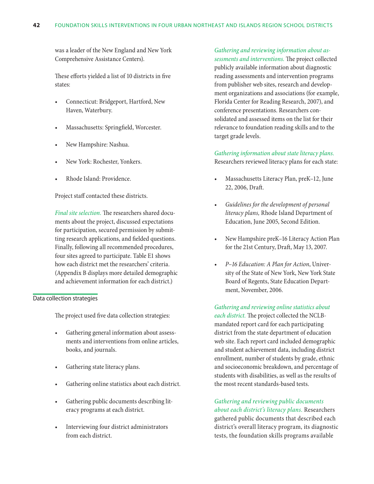was a leader of the New England and New York Comprehensive Assistance Centers).

These efforts yielded a list of 10 districts in five states:

- Connecticut: Bridgeport, Hartford, New Haven, Waterbury.
- Massachusetts: Springfield, Worcester.
- New Hampshire: Nashua.
- New York: Rochester, Yonkers.
- Rhode Island: Providence.

Project staff contacted these districts.

*Final site selection.* The researchers shared documents about the project, discussed expectations for participation, secured permission by submitting research applications, and fielded questions. Finally, following all recommended procedures, four sites agreed to participate. Table E1 shows how each district met the researchers' criteria. (Appendix B displays more detailed demographic and achievement information for each district.)

#### Data collection strategies

The project used five data collection strategies:

- Gathering general information about assessments and interventions from online articles, books, and journals.
- Gathering state literacy plans.
- Gathering online statistics about each district.
- Gathering public documents describing literacy programs at each district.
- Interviewing four district administrators from each district.

#### *Gathering and reviewing information about as-*

*sessments and interventions.* The project collected publicly available information about diagnostic reading assessments and intervention programs from publisher web sites, research and development organizations and associations (for example, Florida Center for Reading Research, 2007), and conference presentations. Researchers consolidated and assessed items on the list for their relevance to foundation reading skills and to the target grade levels.

#### *Gathering information about state literacy plans.* Researchers reviewed literacy plans for each state:

- Massachusetts Literacy Plan, preK-12, June 22, 2006, Draft.
- Guidelines for the development of personal *literacy plans,* Rhode Island Department of Education, June 2005, Second Edition.
- New Hampshire preK-16 Literacy Action Plan for the 21st Century, Draft, May 13, 2007.
- P-16 Education: A Plan for Action, University of the State of New York, New York State Board of Regents, State Education Department, November, 2006.

*Gathering and reviewing online statistics about each district.* The project collected the NCLBmandated report card for each participating district from the state department of education web site. Each report card included demographic and student achievement data, including district enrollment, number of students by grade, ethnic and socioeconomic breakdown, and percentage of students with disabilities, as well as the results of the most recent standards-based tests.

#### *Gathering and reviewing public documents about each district's literacy plans.* Researchers

gathered public documents that described each district's overall literacy program, its diagnostic tests, the foundation skills programs available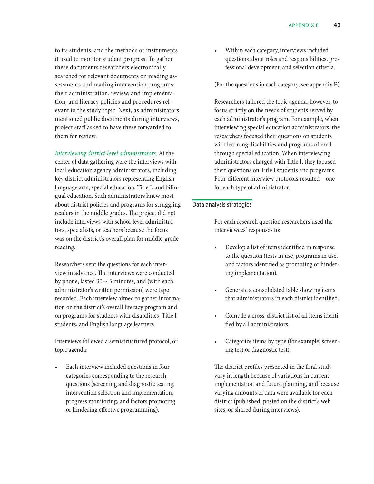to its students, and the methods or instruments it used to monitor student progress. To gather these documents researchers electronically searched for relevant documents on reading assessments and reading intervention programs; their administration, review, and implementation; and literacy policies and procedures relevant to the study topic. Next, as administrators mentioned public documents during interviews, project staff asked to have these forwarded to them for review.

*Interviewing district-level administrators.* At the center of data gathering were the interviews with local education agency administrators, including key district administrators representing English language arts, special education, Title I, and bilingual education. Such administrators knew most about district policies and programs for struggling readers in the middle grades. The project did not include interviews with school-level administrators, specialists, or teachers because the focus was on the district's overall plan for middle-grade reading.

Researchers sent the questions for each interview in advance. The interviews were conducted by phone, lasted 30–45 minutes, and (with each administrator's written permission) were tape recorded. Each interview aimed to gather information on the district's overall literacy program and on programs for students with disabilities, Title I students, and English language learners.

Interviews followed a semistructured protocol, or topic agenda:

Each interview included questions in four categories corresponding to the research questions (screening and diagnostic testing, intervention selection and implementation, progress monitoring, and factors promoting or hindering effective programming).

Within each category, interviews included questions about roles and responsibilities, professional development, and selection criteria.

(For the questions in each category, see appendix F.)

Researchers tailored the topic agenda, however, to focus strictly on the needs of students served by each administrator's program. For example, when interviewing special education administrators, the researchers focused their questions on students with learning disabilities and programs offered through special education. When interviewing administrators charged with Title I, they focused their questions on Title I students and programs. Four different interview protocols resulted—one for each type of administrator.

#### Data analysis strategies

For each research question researchers used the interviewees' responses to:

- Develop a list of items identified in response to the question (tests in use, programs in use, and factors identified as promoting or hindering implementation).
- Generate a consolidated table showing items that administrators in each district identified.
- Compile a cross-district list of all items identified by all administrators.
- Categorize items by type (for example, screening test or diagnostic test).

The district profiles presented in the final study vary in length because of variations in current implementation and future planning, and because varying amounts of data were available for each district (published, posted on the district's web sites, or shared during interviews).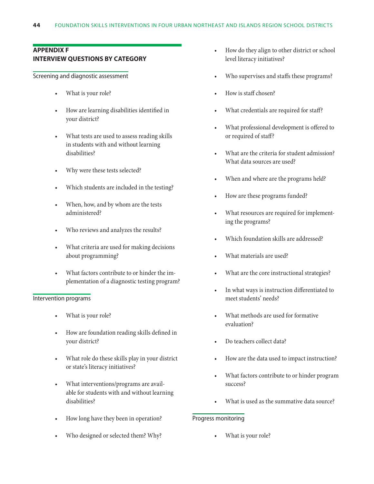#### <span id="page-50-0"></span>**Appendix F Interview questions by category**

#### Screening and diagnostic assessment

- What is your role?
- How are learning disabilities identified in your district?
- • What tests are used to assess reading skills in students with and without learning disabilities?
- Why were these tests selected?
- Which students are included in the testing?
- When, how, and by whom are the tests administered?
- Who reviews and analyzes the results?
- What criteria are used for making decisions about programming?
- What factors contribute to or hinder the implementation of a diagnostic testing program?

#### Intervention programs

- What is your role?
- How are foundation reading skills defined in your district?
- • What role do these skills play in your district or state's literacy initiatives?
- • What interventions/programs are available for students with and without learning disabilities?
- How long have they been in operation?
- Who designed or selected them? Why?
- How do they align to other district or school level literacy initiatives?
- Who supervises and staffs these programs?
- How is staff chosen?
- What credentials are required for staff?
- What professional development is offered to or required of staff?
- What are the criteria for student admission? What data sources are used?
- When and where are the programs held?
- How are these programs funded?
- What resources are required for implementing the programs?
- Which foundation skills are addressed?
- What materials are used?
- What are the core instructional strategies?
- In what ways is instruction differentiated to meet students' needs?
- What methods are used for formative evaluation?
- Do teachers collect data?
- How are the data used to impact instruction?
- What factors contribute to or hinder program success?
- What is used as the summative data source?

#### Progress monitoring

What is your role?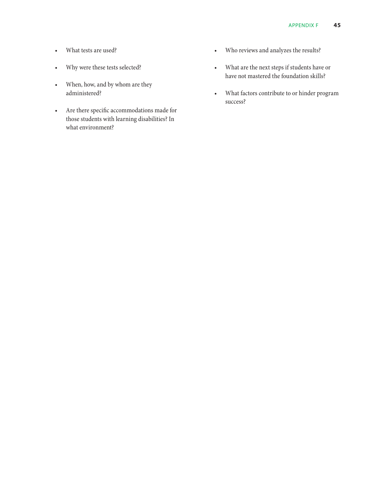- What tests are used?
- • Why were these tests selected?
- When, how, and by whom are they administered?
- • Are there specific accommodations made for those students with learning disabilities? In what environment?
- • Who reviews and analyzes the results?
- • What are the next steps if students have or have not mastered the foundation skills?
- • What factors contribute to or hinder program success?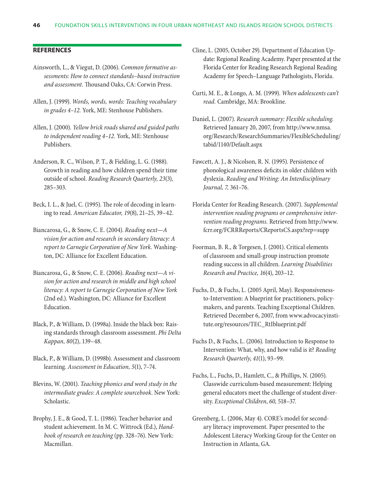#### <span id="page-52-0"></span>**References**

- Ainsworth, L., & Viegut, D. (2006). *Common formative assessments: How to connect standards–based instruction and assessment.* Thousand Oaks, CA: Corwin Press.
- Allen, J. (1999). *Words, words, words: Teaching vocabulary in grades 4–12.* York, ME: Stenhouse Publishers.
- Allen, J. (2000). *Yellow brick roads* s*hared and guided paths to independent reading 4–12.* York, ME: Stenhouse Publishers.
- Anderson, R. C., Wilson, P. T., & Fielding, L. G. (1988). Growth in reading and how children spend their time outside of school. *Reading Research Quarterly, 23*(3)*,*  285–303.
- Beck, I. L., & Juel, C. (1995). The role of decoding in learning to read. *American Educator, 19*(8), 21–25, 39–42.
- Biancarosa, G., & Snow, C. E. (2004). *Reading next—A vision for action and research in secondary literacy: A report to Carnegie Corporation of New York.* Washington, DC: Alliance for Excellent Education.
- Biancarosa, G., & Snow, C. E. (2006). *Reading next—A vision for action and research in middle and high school literacy: A report to Carnegie Corporation of New York* (2nd ed.). Washington, DC: Alliance for Excellent Education.
- Black, P., & William, D. (1998a). Inside the black box: Raising standards through classroom assessment. *Phi Delta Kappan, 80*(2), 139–48.
- Black, P., & William, D. (1998b). Assessment and classroom learning. *Assessment in Education, 5*(1), 7–74.
- Blevins, W. (2001). *Teaching phonics and word study in the intermediate grades: A complete sourcebook*. New York: Scholastic.
- Brophy, J. E., & Good, T. L. (1986). Teacher behavior and student achievement. In M. C. Wittrock (Ed.), *Handbook of research on teaching* (pp. 328–76). New York: Macmillan.
- Cline, L. (2005, October 29). Department of Education Update: Regional Reading Academy. Paper presented at the Florida Center for Reading Research Regional Reading Academy for Speech–Language Pathologists, Florida.
- Curti, M. E., & Longo, A. M. (1999). *When adolescents can't read.* Cambridge, MA: Brookline.
- Daniel, L. (2007). *Research summary: Flexible scheduling.*  Retrieved January 20, 2007, from http://www.nmsa. org/Research/ResearchSummaries/FlexibleScheduling/ tabid/1140/Default.aspx
- Fawcett, A. J., & Nicolson, R. N. (1995). Persistence of phonological awareness deficits in older children with dyslexia. *Reading and Writing: An Interdisciplinary Journal, 7,* 361–76.
- Florida Center for Reading Research. (2007). *Supplemental intervention reading programs or comprehensive intervention reading programs.* Retrieved from http://www. fcrr.org/FCRRReports/CReportsCS.aspx?rep=supp
- Foorman, B. R., & Torgesen, J. (2001). Critical elements of classroom and small-group instruction promote reading success in all children. *Learning Disabilities Research and Practice, 16*(4), 203–12.
- Fuchs, D., & Fuchs, L. (2005 April, May). Responsivenessto-Intervention: A blueprint for practitioners, policymakers, and parents. Teaching Exceptional Children. Retrieved December 6, 2007, from www.advocacyinstitute.org/resources/TEC\_RtIblueprint.pdf
- Fuchs D., & Fuchs, L. (2006)*.* Introduction to Response to Intervention: What, why, and how valid is it? *Reading Research Quarterly*, *41*(1), 93–99.
- Fuchs, L., Fuchs, D., Hamlett, C., & Phillips, N. (2005). Classwide curriculum-based measurement: Helping general educators meet the challenge of student diversity. *Exceptional Children*, *60,* 518–37.
- Greenberg, L. (2006, May 4). CORE's model for secondary literacy improvement*.* Paper presented to the Adolescent Literacy Working Group for the Center on Instruction in Atlanta, GA.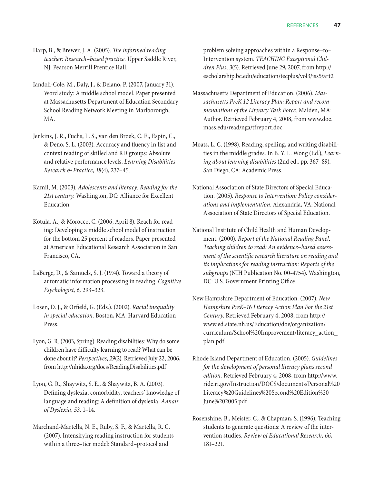Harp, B., & Brewer, J. A. (2005). *The informed reading teacher: Research–based practice.* Upper Saddle River, NJ: Pearson Merrill Prentice Hall.

- Iandoli-Cole, M., Daly, J., & Delano, P. (2007, January 31). Word study: A middle school model. Paper presented at Massachusetts Department of Education Secondary School Reading Network Meeting in Marlborough, MA.
- Jenkins, J. R., Fuchs, L. S., van den Broek, C. E., Espin, C., & Deno, S. L. (2003). Accuracy and fluency in list and context reading of skilled and RD groups: Absolute and relative performance levels. *Learning Disabilities Research & Practice, 18*(4), 237–45.
- Kamil, M. (2003). *Adolescents and literacy: Reading for the 21st century*. Washington, DC: Alliance for Excellent Education.
- Kotula, A., & Morocco, C. (2006, April 8). Reach for reading: Developing a middle school model of instruction for the bottom 25 percent of readers. Paper presented at American Educational Research Association in San Francisco, CA.
- LaBerge, D., & Samuels, S. J. (1974). Toward a theory of automatic information processing in reading. *Cognitive Psychologist, 6,* 293–323.
- Losen, D. J., & Orfield, G. (Eds.). (2002). *Racial inequality in special education.* Boston, MA: Harvard Education Press.
- Lyon, G. R. (2003, Spring). Reading disabilities: Why do some children have difficulty learning to read? What can be done about it? *Perspectives*, *29*(2). Retrieved July 22, 2006, from http://nhida.org/docs/ReadingDisabilities.pdf
- Lyon, G. R., Shaywitz, S. E., & Shaywitz, B. A. (2003). Defining dyslexia, comorbidity, teachers' knowledge of language and reading: A definition of dyslexia. *Annals of Dyslexia, 53,* 1–14.
- Marchand-Martella, N. E., Ruby, S. F., & Martella, R. C. (2007). Intensifying reading instruction for students within a three–tier model: Standard–protocol and

problem solving approaches within a Response–to– Intervention system. *TEACHING Exceptional Children Plus*, *3*(5). Retrieved June 29, 2007, from http:// escholarship.bc.edu/education/tecplus/vol3/iss5/art2

- Massachusetts Department of Education. (2006). *Massachusetts PreK-12 Literacy Plan: Report and recommendations of the Literacy Task Force.* Malden, MA: Author. Retrieved February 4, 2008, from www.doe. mass.edu/read/nga/tfreport.doc
- Moats, L. C. (1998). Reading, spelling, and writing disabilities in the middle grades. In B. Y. L. Wong (Ed.), *Learning about learning disabilities* (2nd ed., pp. 367–89). San Diego, CA: Academic Press.
- National Association of State Directors of Special Education. (2005). *Response to Intervention: Policy considerations and implementation*. Alexandria, VA: National Association of State Directors of Special Education.
- National Institute of Child Health and Human Development. (2000). *Report of the National Reading Panel. Teaching children to read: An evidence–based assessment of the scientific research literature on reading and its implications for reading instruction: Reports of the subgroups* (NIH Publication No. 00-4754). Washington, DC: U.S. Government Printing Office.
- New Hampshire Department of Education. (2007). *New Hampshire PreK–16 Literacy Action Plan For the 21st Century*. Retrieved February 4, 2008, from http:// www.ed.state.nh.us/Education/doe/organization/ curriculum/School%20Improvement/literacy\_action\_ plan.pdf
- Rhode Island Department of Education. (2005). *Guidelines for the development of personal literacy plans second edition.* Retrieved February 4, 2008, from http://www. ride.ri.gov/Instruction/DOCS/documents/Personal%20 Literacy%20Guidelines%20Second%20Edition%20 June%202005.pdf
- Rosenshine, B., Meister, C., & Chapman, S. (1996). Teaching students to generate questions: A review of the intervention studies. *Review of Educational Research, 66*, 181–221.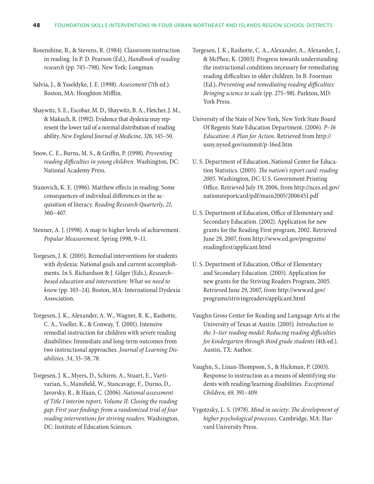Rosenshine, B., & Stevens, R. (1984). Classroom instruction in reading. In P. D. Pearson (Ed.), *Handbook of reading research* (pp. 745–798). New York: Longman.

Salvia, J., & Ysseldyke, J. E. (1998). *Assessment* (7th ed.). Boston, MA: Houghton Mifflin.

- Shaywitz, S. E., Escobar, M. D., Shaywitz, B. A., Fletcher, J. M., & Makuch, R. (1992). Evidence that dyslexia may represent the lower tail of a normal distribution of reading ability. *New England Journal of Medicine, 326,* 145–50.
- Snow, C. E., Burns, M. S., & Griffin, P. (1998). *Preventing reading difficulties in young children.* Washington, DC: National Academy Press.
- Stanovich, K. E. (1986). Matthew effects in reading: Some consequences of individual differences in the acquisition of literacy. *Reading Research Quarterly, 21,*  360–407.
- Stenner, A. J. (1998). A map to higher levels of achievement. *Popular Measurement,* Spring 1998, 9–11.
- Torgesen, J. K. (2005). Remedial interventions for students with dyslexia: National goals and current accomplishments. In S. Richardson & J. Gilger (Eds.), *Research– based education and intervention: What we need to know* (pp. 103–24). Boston, MA: International Dyslexia Association.
- Torgesen, J. K., Alexander, A. W., Wagner, R. K., Rashotte, C. A., Voeller, K., & Conway, T. (2001). Intensive remedial instruction for children with severe reading disabilities: Immediate and long-term outcomes from two instructional approaches. *Journal of Learning Disabilities, 34*, 33–58, 78.
- Torgesen, J. K., Myers, D., Schirm, A., Stuart, E., Vartivarian, S., Mansfield, W., Stancavage, F., Durno, D., Javorsky, R., & Haan, C. (2006). *National assessment of Title I interim report, Volume II: Closing the reading gap: First year findings from a randomized trial of four reading interventions for striving readers.* Washington, DC: Institute of Education Sciences.
- Torgesen, J. K., Rashotte, C. A., Alexander, A., Alexander, J., & McPhee, K. (2003). Progress towards understanding the instructional conditions necessary for remediating reading difficulties in older children. In B. Foorman (Ed.), *Preventing and remediating reading difficulties: Bringing science to scale* (pp. 275–98). Parkton, MD: York Press.
- University of the State of New York, New York State Board Of Regents State Education Department. (2006). *P–16 Education: A Plan for Action.* Retrieved from http:// usny.nysed.gov/summit/p-16ed.htm
- U. S. Department of Education, National Center for Education Statistics. (2005). *The nation's report card: reading 2005.* Washington, DC: U.S. Government Printing Office. Retrieved July 19, 2006, from http://nces.ed.gov/ nationsreportcard/pdf/main2005/2006451.pdf
- U. S. Department of Education, Office of Elementary and Secondary Education. (2002). Application for new grants for the Reading First program, 2002. Retrieved June 29, 2007, from http://www.ed.gov/programs/ readingfirst/applicant.html
- U. S. Department of Education, Office of Elementary and Secondary Education. (2005). Application for new grants for the Striving Readers Program, 2005. Retrieved June 29, 2007, from http://www.ed.gov/ programs/strivingreaders/applicant.html
- Vaughn Gross Center for Reading and Language Arts at the University of Texas at Austin. (2005). *Introduction to the 3–tier reading model: Reducing reading difficulties for kindergarten through third grade students* (4th ed.). Austin, TX: Author.
- Vaughn, S., Linan-Thompson, S., & Hickman, P. (2003). Response to instruction as a means of identifying students with reading/learning disabilities. *Exceptional Children, 69,* 391–409.
- Vygotzsky, L. S. (1978). *Mind in society: The development of higher psychological processes.* Cambridge, MA: Harvard University Press.